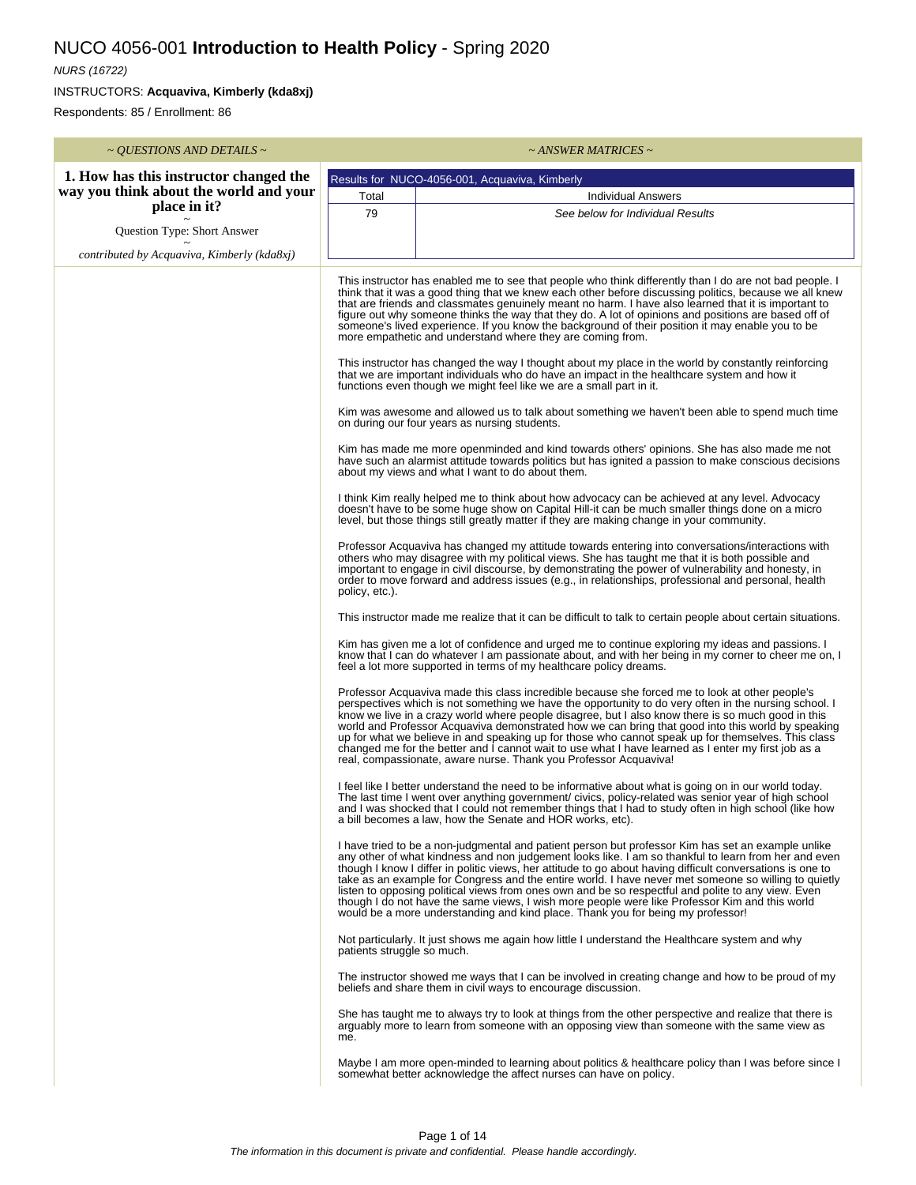## NUCO 4056-001 **Introduction to Health Policy** - Spring 2020

## NURS (16722)

INSTRUCTORS: **Acquaviva, Kimberly (kda8xj)**

Respondents: 85 / Enrollment: 86

| ~ QUESTIONS AND DETAILS ~                              | $\sim$ ANSWER MATRICES $\sim$                                                                                                                                                                                                                                                                                                                                                                                                                                                                                                                                                                       |                                                                                                                                                                                                                                                                                                                                                                                                                                                                                                                                                                                                                                                                                                                             |  |  |  |
|--------------------------------------------------------|-----------------------------------------------------------------------------------------------------------------------------------------------------------------------------------------------------------------------------------------------------------------------------------------------------------------------------------------------------------------------------------------------------------------------------------------------------------------------------------------------------------------------------------------------------------------------------------------------------|-----------------------------------------------------------------------------------------------------------------------------------------------------------------------------------------------------------------------------------------------------------------------------------------------------------------------------------------------------------------------------------------------------------------------------------------------------------------------------------------------------------------------------------------------------------------------------------------------------------------------------------------------------------------------------------------------------------------------------|--|--|--|
| 1. How has this instructor changed the                 | Results for NUCO-4056-001, Acquaviva, Kimberly                                                                                                                                                                                                                                                                                                                                                                                                                                                                                                                                                      |                                                                                                                                                                                                                                                                                                                                                                                                                                                                                                                                                                                                                                                                                                                             |  |  |  |
| way you think about the world and your<br>place in it? | Total                                                                                                                                                                                                                                                                                                                                                                                                                                                                                                                                                                                               | <b>Individual Answers</b>                                                                                                                                                                                                                                                                                                                                                                                                                                                                                                                                                                                                                                                                                                   |  |  |  |
|                                                        | 79                                                                                                                                                                                                                                                                                                                                                                                                                                                                                                                                                                                                  | See below for Individual Results                                                                                                                                                                                                                                                                                                                                                                                                                                                                                                                                                                                                                                                                                            |  |  |  |
| Question Type: Short Answer                            |                                                                                                                                                                                                                                                                                                                                                                                                                                                                                                                                                                                                     |                                                                                                                                                                                                                                                                                                                                                                                                                                                                                                                                                                                                                                                                                                                             |  |  |  |
| contributed by Acquaviva, Kimberly (kda8xj)            |                                                                                                                                                                                                                                                                                                                                                                                                                                                                                                                                                                                                     |                                                                                                                                                                                                                                                                                                                                                                                                                                                                                                                                                                                                                                                                                                                             |  |  |  |
|                                                        | This instructor has enabled me to see that people who think differently than I do are not bad people. I<br>think that it was a good thing that we knew each other before discussing politics, because we all knew<br>that are friends and classmates genuinely meant no harm. I have also learned that it is important to<br>figure out why someone thinks the way that they do. A lot of opinions and positions are based off of<br>someone's lived experience. If you know the background of their position it may enable you to be<br>more empathetic and understand where they are coming from. |                                                                                                                                                                                                                                                                                                                                                                                                                                                                                                                                                                                                                                                                                                                             |  |  |  |
|                                                        |                                                                                                                                                                                                                                                                                                                                                                                                                                                                                                                                                                                                     | This instructor has changed the way I thought about my place in the world by constantly reinforcing<br>that we are important individuals who do have an impact in the healthcare system and how it<br>functions even though we might feel like we are a small part in it.                                                                                                                                                                                                                                                                                                                                                                                                                                                   |  |  |  |
|                                                        |                                                                                                                                                                                                                                                                                                                                                                                                                                                                                                                                                                                                     | Kim was awesome and allowed us to talk about something we haven't been able to spend much time<br>on during our four years as nursing students.                                                                                                                                                                                                                                                                                                                                                                                                                                                                                                                                                                             |  |  |  |
|                                                        |                                                                                                                                                                                                                                                                                                                                                                                                                                                                                                                                                                                                     | Kim has made me more openminded and kind towards others' opinions. She has also made me not<br>have such an alarmist attitude towards politics but has ignited a passion to make conscious decisions<br>about my views and what I want to do about them.                                                                                                                                                                                                                                                                                                                                                                                                                                                                    |  |  |  |
|                                                        |                                                                                                                                                                                                                                                                                                                                                                                                                                                                                                                                                                                                     | I think Kim really helped me to think about how advocacy can be achieved at any level. Advocacy<br>doesn't have to be some huge show on Capital Hill-it can be much smaller things done on a micro<br>level, but those things still greatly matter if they are making change in your community.                                                                                                                                                                                                                                                                                                                                                                                                                             |  |  |  |
|                                                        | policy, etc.).                                                                                                                                                                                                                                                                                                                                                                                                                                                                                                                                                                                      | Professor Acquaviva has changed my attitude towards entering into conversations/interactions with<br>others who may disagree with my political views. She has taught me that it is both possible and<br>important to engage in civil discourse, by demonstrating the power of vulnerability and honesty, in<br>order to move forward and address issues (e.g., in relationships, professional and personal, health                                                                                                                                                                                                                                                                                                          |  |  |  |
|                                                        |                                                                                                                                                                                                                                                                                                                                                                                                                                                                                                                                                                                                     | This instructor made me realize that it can be difficult to talk to certain people about certain situations.                                                                                                                                                                                                                                                                                                                                                                                                                                                                                                                                                                                                                |  |  |  |
|                                                        |                                                                                                                                                                                                                                                                                                                                                                                                                                                                                                                                                                                                     | Kim has given me a lot of confidence and urged me to continue exploring my ideas and passions. I<br>know that I can do whatever I am passionate about, and with her being in my corner to cheer me on, I<br>feel a lot more supported in terms of my healthcare policy dreams.                                                                                                                                                                                                                                                                                                                                                                                                                                              |  |  |  |
|                                                        |                                                                                                                                                                                                                                                                                                                                                                                                                                                                                                                                                                                                     | Professor Acquaviva made this class incredible because she forced me to look at other people's<br>perspectives which is not something we have the opportunity to do very often in the nursing school. I<br>know we live in a crazy world where people disagree, but I also know there is so much good in this<br>world and Professor Acquaviva demonstrated how we can bring that good into this world by speaking<br>up for what we believe in and speaking up for those who cannot speak up for themselves. This class<br>changed me for the better and I cannot wait to use what I have learned as I enter my first job as a<br>real, compassionate, aware nurse. Thank you Professor Acquaviva!                         |  |  |  |
|                                                        |                                                                                                                                                                                                                                                                                                                                                                                                                                                                                                                                                                                                     | I feel like I better understand the need to be informative about what is going on in our world today.<br>The last time I went over anything government/ civics, policy-related was senior year of high school<br>and I was shocked that I could not remember things that I had to study often in high school (like how<br>a bill becomes a law, how the Senate and HOR works, etc).                                                                                                                                                                                                                                                                                                                                         |  |  |  |
|                                                        |                                                                                                                                                                                                                                                                                                                                                                                                                                                                                                                                                                                                     | I have tried to be a non-judgmental and patient person but professor Kim has set an example unlike<br>any other of what kindness and non judgement looks like. I am so thankful to learn from her and even<br>though I know I differ in politic views, her attitude to go about having difficult conversations is one to<br>take as an example for Congress and the entire world. I have never met someone so willing to quietly<br>listen to opposing political views from ones own and be so respectful and polite to any view. Even<br>though I do not have the same views, I wish more people were like Professor Kim and this world<br>would be a more understanding and kind place. Thank you for being my professor! |  |  |  |
|                                                        | patients struggle so much.                                                                                                                                                                                                                                                                                                                                                                                                                                                                                                                                                                          | Not particularly. It just shows me again how little I understand the Healthcare system and why                                                                                                                                                                                                                                                                                                                                                                                                                                                                                                                                                                                                                              |  |  |  |
|                                                        |                                                                                                                                                                                                                                                                                                                                                                                                                                                                                                                                                                                                     | The instructor showed me ways that I can be involved in creating change and how to be proud of my<br>beliefs and share them in civil ways to encourage discussion.                                                                                                                                                                                                                                                                                                                                                                                                                                                                                                                                                          |  |  |  |
|                                                        | me.                                                                                                                                                                                                                                                                                                                                                                                                                                                                                                                                                                                                 | She has taught me to always try to look at things from the other perspective and realize that there is<br>arguably more to learn from someone with an opposing view than someone with the same view as                                                                                                                                                                                                                                                                                                                                                                                                                                                                                                                      |  |  |  |
|                                                        |                                                                                                                                                                                                                                                                                                                                                                                                                                                                                                                                                                                                     | Maybe I am more open-minded to learning about politics & healthcare policy than I was before since I<br>somewhat better acknowledge the affect nurses can have on policy.                                                                                                                                                                                                                                                                                                                                                                                                                                                                                                                                                   |  |  |  |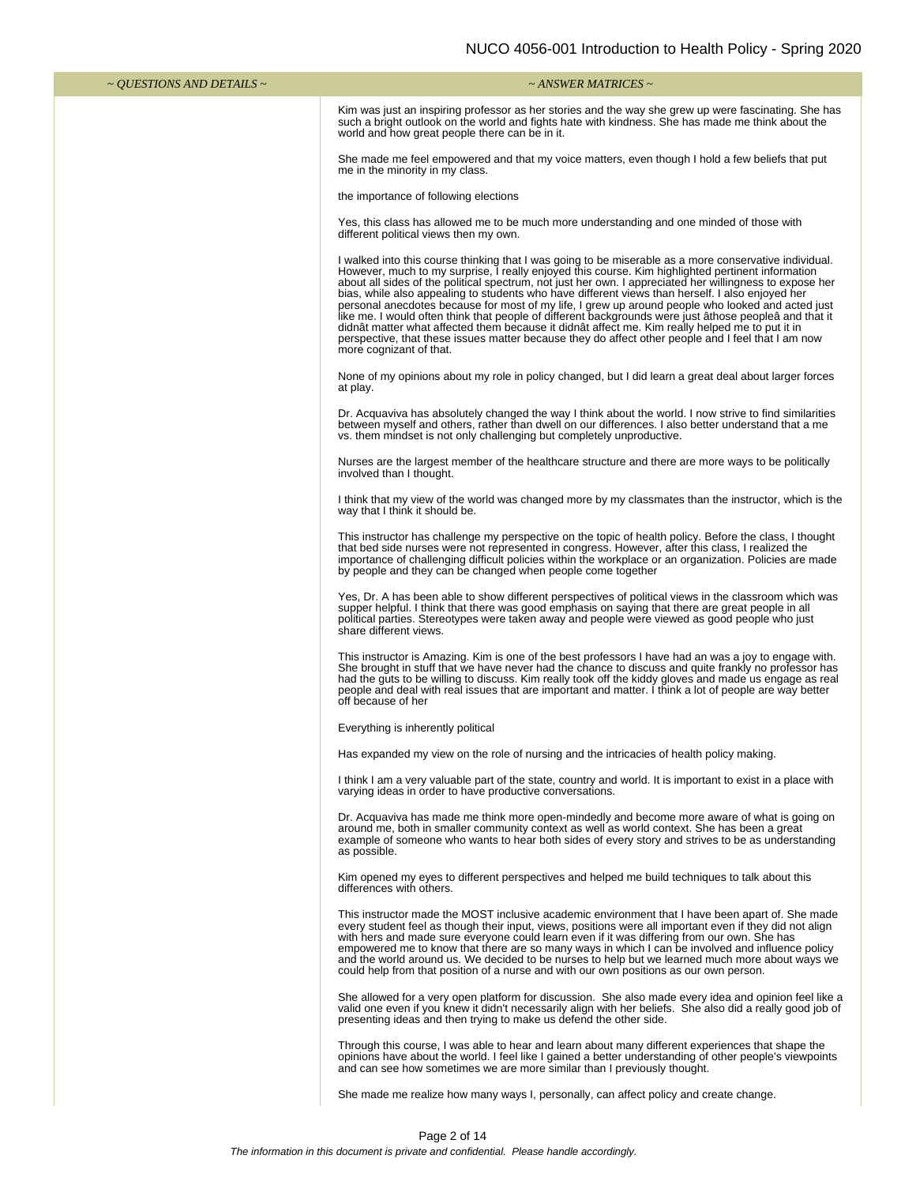| $\sim$ QUESTIONS AND DETAILS $\sim$ | $\sim$ ANSWER MATRICES $\sim$                                                                                                                                                                                                                                                                                                                                                                                                                                                                                                                                                                                                                                                                                                                                                                                                                                                  |
|-------------------------------------|--------------------------------------------------------------------------------------------------------------------------------------------------------------------------------------------------------------------------------------------------------------------------------------------------------------------------------------------------------------------------------------------------------------------------------------------------------------------------------------------------------------------------------------------------------------------------------------------------------------------------------------------------------------------------------------------------------------------------------------------------------------------------------------------------------------------------------------------------------------------------------|
|                                     | Kim was just an inspiring professor as her stories and the way she grew up were fascinating. She has<br>such a bright outlook on the world and fights hate with kindness. She has made me think about the<br>world and how great people there can be in it.                                                                                                                                                                                                                                                                                                                                                                                                                                                                                                                                                                                                                    |
|                                     | She made me feel empowered and that my voice matters, even though I hold a few beliefs that put<br>me in the minority in my class.                                                                                                                                                                                                                                                                                                                                                                                                                                                                                                                                                                                                                                                                                                                                             |
|                                     | the importance of following elections                                                                                                                                                                                                                                                                                                                                                                                                                                                                                                                                                                                                                                                                                                                                                                                                                                          |
|                                     | Yes, this class has allowed me to be much more understanding and one minded of those with<br>different political views then my own.                                                                                                                                                                                                                                                                                                                                                                                                                                                                                                                                                                                                                                                                                                                                            |
|                                     | I walked into this course thinking that I was going to be miserable as a more conservative individual.<br>However, much to my surprise, I really enjoyed this course. Kim highlighted pertinent information<br>about all sides of the political spectrum, not just her own. I appreciated her willingness to expose her<br>bias, while also appealing to students who have different views than herself. I also enjoyed her<br>personal anecdotes because for most of my life, I grew up around people who looked and acted just<br>like me. I would often think that people of different backgrounds were just athose peoplea and that it<br>didnât matter what affected them because it didnât affect me. Kim really helped me to put it in<br>perspective, that these issues matter because they do affect other people and I feel that I am now<br>more cognizant of that. |
|                                     | None of my opinions about my role in policy changed, but I did learn a great deal about larger forces<br>at play.                                                                                                                                                                                                                                                                                                                                                                                                                                                                                                                                                                                                                                                                                                                                                              |
|                                     | Dr. Acquaviva has absolutely changed the way I think about the world. I now strive to find similarities<br>between myself and others, rather than dwell on our differences. I also better understand that a me<br>vs. them mindset is not only challenging but completely unproductive.                                                                                                                                                                                                                                                                                                                                                                                                                                                                                                                                                                                        |
|                                     | Nurses are the largest member of the healthcare structure and there are more ways to be politically<br>involved than I thought.                                                                                                                                                                                                                                                                                                                                                                                                                                                                                                                                                                                                                                                                                                                                                |
|                                     | I think that my view of the world was changed more by my classmates than the instructor, which is the<br>way that I think it should be.                                                                                                                                                                                                                                                                                                                                                                                                                                                                                                                                                                                                                                                                                                                                        |
|                                     | This instructor has challenge my perspective on the topic of health policy. Before the class, I thought<br>that bed side nurses were not represented in congress. However, after this class, I realized the<br>importance of challenging difficult policies within the workplace or an organization. Policies are made<br>by people and they can be changed when people come together                                                                                                                                                                                                                                                                                                                                                                                                                                                                                          |
|                                     | Yes, Dr. A has been able to show different perspectives of political views in the classroom which was<br>supper helpful. I think that there was good emphasis on saying that there are great people in all<br>political parties. Stereotypes were taken away and people were viewed as good people who just<br>share different views.                                                                                                                                                                                                                                                                                                                                                                                                                                                                                                                                          |
|                                     | This instructor is Amazing. Kim is one of the best professors I have had an was a joy to engage with.<br>She brought in stuff that we have never had the chance to discuss and quite frankly no professor has<br>had the guts to be willing to discuss. Kim really took off the kiddy gloves and made us engage as real<br>people and deal with real issues that are important and matter. I think a lot of people are way better<br>off because of her                                                                                                                                                                                                                                                                                                                                                                                                                        |
|                                     | Everything is inherently political                                                                                                                                                                                                                                                                                                                                                                                                                                                                                                                                                                                                                                                                                                                                                                                                                                             |
|                                     | Has expanded my view on the role of nursing and the intricacies of health policy making.                                                                                                                                                                                                                                                                                                                                                                                                                                                                                                                                                                                                                                                                                                                                                                                       |
|                                     | I think I am a very valuable part of the state, country and world. It is important to exist in a place with<br>varying ideas in order to have productive conversations.                                                                                                                                                                                                                                                                                                                                                                                                                                                                                                                                                                                                                                                                                                        |
|                                     | Dr. Acquaviva has made me think more open-mindedly and become more aware of what is going on<br>around me, both in smaller community context as well as world context. She has been a great<br>example of someone who wants to hear both sides of every story and strives to be as understanding<br>as possible.                                                                                                                                                                                                                                                                                                                                                                                                                                                                                                                                                               |
|                                     | Kim opened my eyes to different perspectives and helped me build techniques to talk about this<br>differences with others.                                                                                                                                                                                                                                                                                                                                                                                                                                                                                                                                                                                                                                                                                                                                                     |
|                                     | This instructor made the MOST inclusive academic environment that I have been apart of. She made<br>every student feel as though their input, views, positions were all important even if they did not align<br>with hers and made sure everyone could learn even if it was differing from our own. She has<br>empowered me to know that there are so many ways in which I can be involved and influence policy<br>and the world around us. We decided to be nurses to help but we learned much more about ways we<br>could help from that position of a nurse and with our own positions as our own person.                                                                                                                                                                                                                                                                   |
|                                     | She allowed for a very open platform for discussion. She also made every idea and opinion feel like a<br>valid one even if you knew it didn't necessarily align with her beliefs. She also did a really good job of<br>presenting ideas and then trying to make us defend the other side.                                                                                                                                                                                                                                                                                                                                                                                                                                                                                                                                                                                      |
|                                     | Through this course, I was able to hear and learn about many different experiences that shape the<br>opinions have about the world. I feel like I gained a better understanding of other people's viewpoints<br>and can see how sometimes we are more similar than I previously thought.                                                                                                                                                                                                                                                                                                                                                                                                                                                                                                                                                                                       |

She made me realize how many ways I, personally, can affect policy and create change.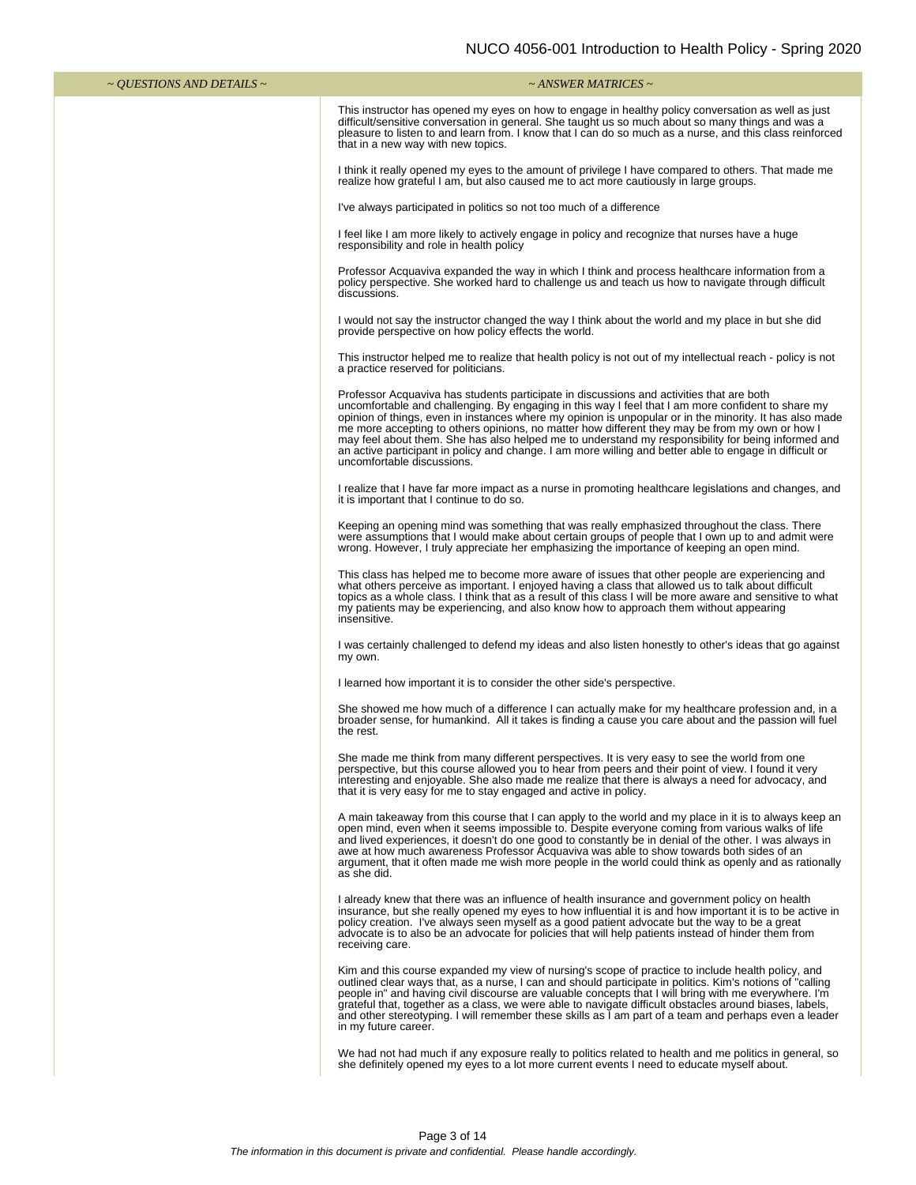| $\sim$ QUESTIONS AND DETAILS $\sim$ | $\sim$ ANSWER MATRICES $\sim$                                                                                                                                                                                                                                                                                                                                                                                                                                                                                                                                                                                                                              |
|-------------------------------------|------------------------------------------------------------------------------------------------------------------------------------------------------------------------------------------------------------------------------------------------------------------------------------------------------------------------------------------------------------------------------------------------------------------------------------------------------------------------------------------------------------------------------------------------------------------------------------------------------------------------------------------------------------|
|                                     | This instructor has opened my eyes on how to engage in healthy policy conversation as well as just<br>difficult/sensitive conversation in general. She taught us so much about so many things and was a<br>pleasure to listen to and learn from. I know that I can do so much as a nurse, and this class reinforced<br>that in a new way with new topics.                                                                                                                                                                                                                                                                                                  |
|                                     | I think it really opened my eyes to the amount of privilege I have compared to others. That made me<br>realize how grateful I am, but also caused me to act more cautiously in large groups.                                                                                                                                                                                                                                                                                                                                                                                                                                                               |
|                                     | I've always participated in politics so not too much of a difference                                                                                                                                                                                                                                                                                                                                                                                                                                                                                                                                                                                       |
|                                     | I feel like I am more likely to actively engage in policy and recognize that nurses have a huge<br>responsibility and role in health policy                                                                                                                                                                                                                                                                                                                                                                                                                                                                                                                |
|                                     | Professor Acquaviva expanded the way in which I think and process healthcare information from a<br>policy perspective. She worked hard to challenge us and teach us how to navigate through difficult<br>discussions.                                                                                                                                                                                                                                                                                                                                                                                                                                      |
|                                     | I would not say the instructor changed the way I think about the world and my place in but she did<br>provide perspective on how policy effects the world.                                                                                                                                                                                                                                                                                                                                                                                                                                                                                                 |
|                                     | This instructor helped me to realize that health policy is not out of my intellectual reach - policy is not<br>a practice reserved for politicians.                                                                                                                                                                                                                                                                                                                                                                                                                                                                                                        |
|                                     | Professor Acquaviva has students participate in discussions and activities that are both<br>uncomfortable and challenging. By engaging in this way I feel that I am more confident to share my<br>opinion of things, even in instances where my opinion is unpopular or in the minority. It has also made<br>me more accepting to others opinions, no matter how different they may be from my own or how I<br>may feel about them. She has also helped me to understand my responsibility for being informed and<br>an active participant in policy and change. I am more willing and better able to engage in difficult or<br>uncomfortable discussions. |
|                                     | I realize that I have far more impact as a nurse in promoting healthcare legislations and changes, and<br>it is important that I continue to do so.                                                                                                                                                                                                                                                                                                                                                                                                                                                                                                        |
|                                     | Keeping an opening mind was something that was really emphasized throughout the class. There<br>were assumptions that I would make about certain groups of people that I own up to and admit were<br>wrong. However, I truly appreciate her emphasizing the importance of keeping an open mind.                                                                                                                                                                                                                                                                                                                                                            |
|                                     | This class has helped me to become more aware of issues that other people are experiencing and<br>what others perceive as important. I enjoyed having a class that allowed us to talk about difficult<br>topics as a whole class. I think that as a result of this class I will be more aware and sensitive to what<br>my patients may be experiencing, and also know how to approach them without appearing<br>insensitive.                                                                                                                                                                                                                               |
|                                     | I was certainly challenged to defend my ideas and also listen honestly to other's ideas that go against<br>my own.                                                                                                                                                                                                                                                                                                                                                                                                                                                                                                                                         |
|                                     | I learned how important it is to consider the other side's perspective.                                                                                                                                                                                                                                                                                                                                                                                                                                                                                                                                                                                    |
|                                     | She showed me how much of a difference I can actually make for my healthcare profession and, in a<br>broader sense, for humankind. All it takes is finding a cause you care about and the passion will fuel<br>the rest.                                                                                                                                                                                                                                                                                                                                                                                                                                   |
|                                     | She made me think from many different perspectives. It is very easy to see the world from one<br>perspective, but this course allowed you to hear from peers and their point of view. I found it very<br>interesting and enjoyable. She also made me realize that there is always a need for advocacy, and<br>that it is very easy for me to stay engaged and active in policy.                                                                                                                                                                                                                                                                            |
|                                     | A main takeaway from this course that I can apply to the world and my place in it is to always keep an<br>open mind, even when it seems impossible to. Despite everyone coming from various walks of life<br>and lived experiences, it doesn't do one good to constantly be in denial of the other. I was always in<br>awe at how much awareness Professor Acquaviva was able to show towards both sides of an<br>argument, that it often made me wish more people in the world could think as openly and as rationally<br>as she did.                                                                                                                     |
|                                     | I already knew that there was an influence of health insurance and government policy on health<br>insurance, but she really opened my eyes to how influential it is and how important it is to be active in<br>policy creation. I've always seen myself as a good patient advocate but the way to be a great<br>advocate is to also be an advocate for policies that will help patients instead of hinder them from<br>receiving care.                                                                                                                                                                                                                     |
|                                     | Kim and this course expanded my view of nursing's scope of practice to include health policy, and<br>outlined clear ways that, as a nurse, I can and should participate in politics. Kim's notions of "calling<br>people in" and having civil discourse are valuable concepts that I will bring with me everywhere. I'm<br>grateful that, together as a class, we were able to navigate difficult obstacles around biases, labels,<br>and other stereotyping. I will remember these skills as I am part of a team and perhaps even a leader<br>in my future career.                                                                                        |
|                                     | We had not had much if any exposure really to politics related to health and me politics in general, so<br>she definitely opened my eyes to a lot more current events I need to educate myself about.                                                                                                                                                                                                                                                                                                                                                                                                                                                      |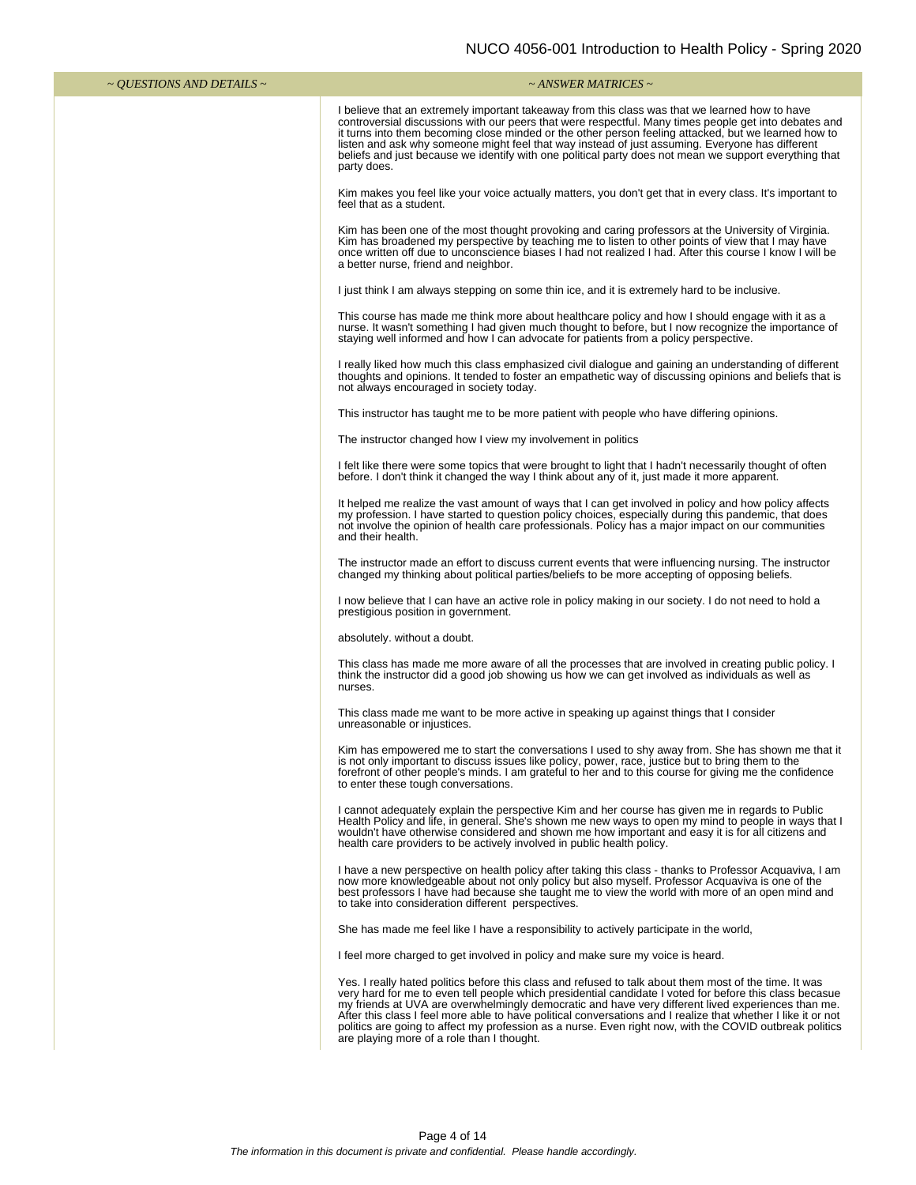| $\sim$ <i>QUESTIONS AND DETAILS</i> $\sim$ | ~ ANSWER MATRICES ~                                                                                                                                                                                                                                                                                                                                                                                                                                                                                                                                                                               |
|--------------------------------------------|---------------------------------------------------------------------------------------------------------------------------------------------------------------------------------------------------------------------------------------------------------------------------------------------------------------------------------------------------------------------------------------------------------------------------------------------------------------------------------------------------------------------------------------------------------------------------------------------------|
|                                            | I believe that an extremely important takeaway from this class was that we learned how to have<br>controversial discussions with our peers that were respectful. Many times people get into debates and<br>it turns into them becoming close minded or the other person feeling attacked, but we learned how to<br>listen and ask why someone might feel that way instead of just assuming. Everyone has different<br>beliefs and just because we identify with one political party does not mean we support everything that<br>party does.                                                       |
|                                            | Kim makes you feel like your voice actually matters, you don't get that in every class. It's important to<br>feel that as a student.                                                                                                                                                                                                                                                                                                                                                                                                                                                              |
|                                            | Kim has been one of the most thought provoking and caring professors at the University of Virginia.<br>Kim has broadened my perspective by teaching me to listen to other points of view that I may have<br>once written off due to unconscience biases I had not realized I had. After this course I know I will be<br>a better nurse, friend and neighbor.                                                                                                                                                                                                                                      |
|                                            | I just think I am always stepping on some thin ice, and it is extremely hard to be inclusive.                                                                                                                                                                                                                                                                                                                                                                                                                                                                                                     |
|                                            | This course has made me think more about healthcare policy and how I should engage with it as a<br>nurse. It wasn't something I had given much thought to before, but I now recognize the importance of<br>staying well informed and how I can advocate for patients from a policy perspective.                                                                                                                                                                                                                                                                                                   |
|                                            | I really liked how much this class emphasized civil dialogue and gaining an understanding of different<br>thoughts and opinions. It tended to foster an empathetic way of discussing opinions and beliefs that is<br>not always encouraged in society today.                                                                                                                                                                                                                                                                                                                                      |
|                                            | This instructor has taught me to be more patient with people who have differing opinions.                                                                                                                                                                                                                                                                                                                                                                                                                                                                                                         |
|                                            | The instructor changed how I view my involvement in politics                                                                                                                                                                                                                                                                                                                                                                                                                                                                                                                                      |
|                                            | I felt like there were some topics that were brought to light that I hadn't necessarily thought of often<br>before. I don't think it changed the way I think about any of it, just made it more apparent.                                                                                                                                                                                                                                                                                                                                                                                         |
|                                            | It helped me realize the vast amount of ways that I can get involved in policy and how policy affects<br>my profession. I have started to question policy choices, especially during this pandemic, that does<br>not involve the opinion of health care professionals. Policy has a major impact on our communities<br>and their health.                                                                                                                                                                                                                                                          |
|                                            | The instructor made an effort to discuss current events that were influencing nursing. The instructor<br>changed my thinking about political parties/beliefs to be more accepting of opposing beliefs.                                                                                                                                                                                                                                                                                                                                                                                            |
|                                            | I now believe that I can have an active role in policy making in our society. I do not need to hold a<br>prestigious position in government.                                                                                                                                                                                                                                                                                                                                                                                                                                                      |
|                                            | absolutely. without a doubt.                                                                                                                                                                                                                                                                                                                                                                                                                                                                                                                                                                      |
|                                            | This class has made me more aware of all the processes that are involved in creating public policy. I<br>think the instructor did a good job showing us how we can get involved as individuals as well as<br>nurses.                                                                                                                                                                                                                                                                                                                                                                              |
|                                            | This class made me want to be more active in speaking up against things that I consider<br>unreasonable or injustices.                                                                                                                                                                                                                                                                                                                                                                                                                                                                            |
|                                            | Kim has empowered me to start the conversations I used to shy away from. She has shown me that it<br>is not only important to discuss issues like policy, power, race, justice but to bring them to the<br>forefront of other people's minds. I am grateful to her and to this course for giving me the confidence<br>to enter these tough conversations.                                                                                                                                                                                                                                         |
|                                            | I cannot adequately explain the perspective Kim and her course has given me in regards to Public<br>Health Policy and life, in general. She's shown me new ways to open my mind to people in ways that I<br>wouldn't have otherwise considered and shown me how important and easy it is for all citizens and<br>health care providers to be actively involved in public health policy.                                                                                                                                                                                                           |
|                                            | I have a new perspective on health policy after taking this class - thanks to Professor Acquaviva, I am<br>now more knowledgeable about not only policy but also myself. Professor Acquaviva is one of the<br>best professors I have had because she taught me to view the world with more of an open mind and<br>to take into consideration different perspectives.                                                                                                                                                                                                                              |
|                                            | She has made me feel like I have a responsibility to actively participate in the world,                                                                                                                                                                                                                                                                                                                                                                                                                                                                                                           |
|                                            | I feel more charged to get involved in policy and make sure my voice is heard.                                                                                                                                                                                                                                                                                                                                                                                                                                                                                                                    |
|                                            | Yes. I really hated politics before this class and refused to talk about them most of the time. It was<br>very hard for me to even tell people which presidential candidate I voted for before this class becasue<br>my friends at UVA are overwhelmingly democratic and have very different lived experiences than me.<br>After this class I feel more able to have political conversations and I realize that whether I like it or not<br>politics are going to affect my profession as a nurse. Even right now, with the COVID outbreak politics<br>are playing more of a role than I thought. |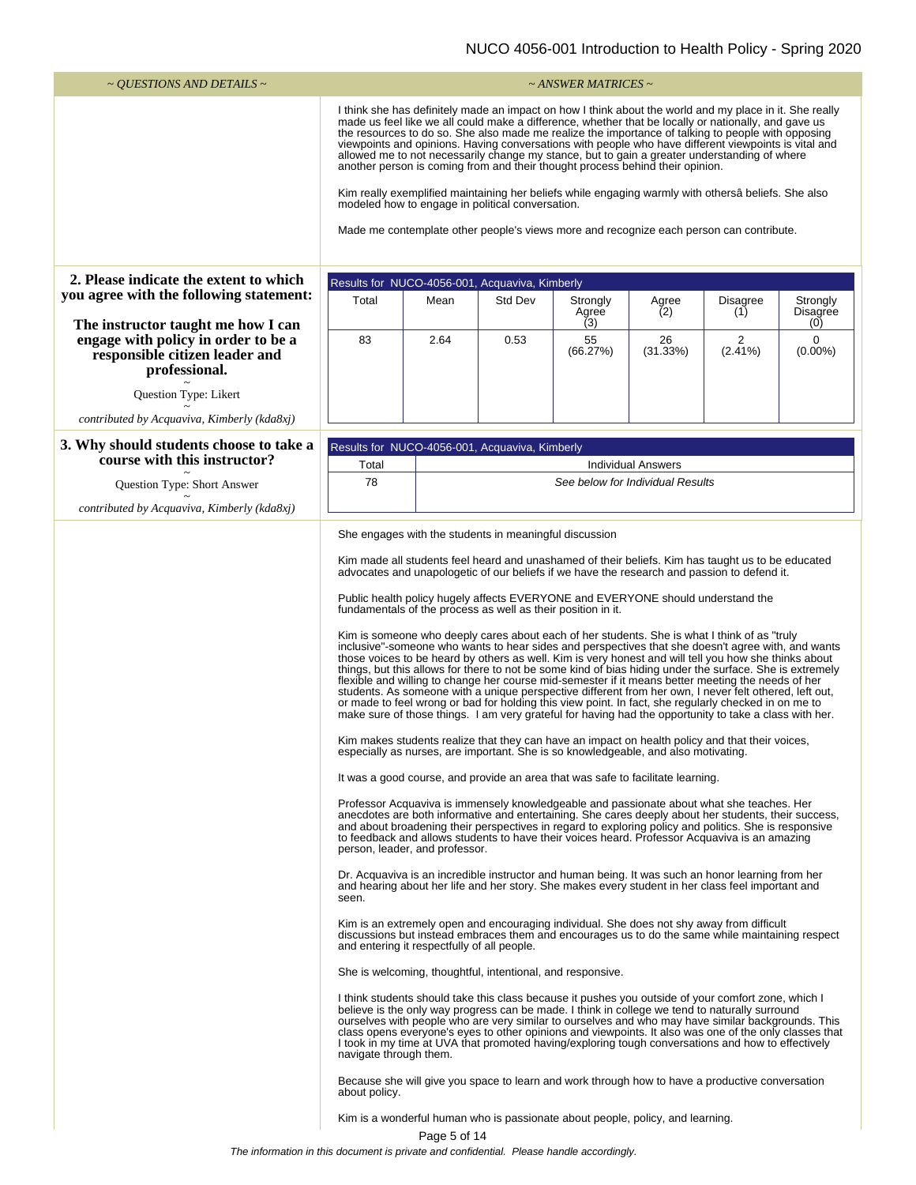| $\sim$ OUESTIONS AND DETAILS $\sim$                                                                                          |                                                                                                                                                                                                                                                                                                                                                                                                                                                                                                                                                                                                                                                                                                                                                                                                                                                                                                                                                                                                                                                                                                                                                                                                                                                                                                                                                                                                                                                                                                                                                                                                                                                                                                                                                                                                                                                                                                                                                                                                                                                                                                                                                                                                                                                                                                                                                                                                                                                                                                                                                                                                                                                                                                                                                                                                                                                                                                                                                                                                                                                                                                                                                                                                                                          |              |                                                           | $\sim$ ANSWER MATRICES $\sim$                                                  |                           |                 |                               |
|------------------------------------------------------------------------------------------------------------------------------|------------------------------------------------------------------------------------------------------------------------------------------------------------------------------------------------------------------------------------------------------------------------------------------------------------------------------------------------------------------------------------------------------------------------------------------------------------------------------------------------------------------------------------------------------------------------------------------------------------------------------------------------------------------------------------------------------------------------------------------------------------------------------------------------------------------------------------------------------------------------------------------------------------------------------------------------------------------------------------------------------------------------------------------------------------------------------------------------------------------------------------------------------------------------------------------------------------------------------------------------------------------------------------------------------------------------------------------------------------------------------------------------------------------------------------------------------------------------------------------------------------------------------------------------------------------------------------------------------------------------------------------------------------------------------------------------------------------------------------------------------------------------------------------------------------------------------------------------------------------------------------------------------------------------------------------------------------------------------------------------------------------------------------------------------------------------------------------------------------------------------------------------------------------------------------------------------------------------------------------------------------------------------------------------------------------------------------------------------------------------------------------------------------------------------------------------------------------------------------------------------------------------------------------------------------------------------------------------------------------------------------------------------------------------------------------------------------------------------------------------------------------------------------------------------------------------------------------------------------------------------------------------------------------------------------------------------------------------------------------------------------------------------------------------------------------------------------------------------------------------------------------------------------------------------------------------------------------------------------------|--------------|-----------------------------------------------------------|--------------------------------------------------------------------------------|---------------------------|-----------------|-------------------------------|
|                                                                                                                              | I think she has definitely made an impact on how I think about the world and my place in it. She really<br>made us feel like we all could make a difference, whether that be locally or nationally, and gave us<br>the resources to do so. She also made me realize the importance of talking to people with opposing<br>viewpoints and opinions. Having conversations with people who have different viewpoints is vital and<br>allowed me to not necessarily change my stance, but to gain a greater understanding of where<br>another person is coming from and their thought process behind their opinion.<br>Kim really exemplified maintaining her beliefs while engaging warmly with othersâ beliefs. She also<br>modeled how to engage in political conversation.<br>Made me contemplate other people's views more and recognize each person can contribute.                                                                                                                                                                                                                                                                                                                                                                                                                                                                                                                                                                                                                                                                                                                                                                                                                                                                                                                                                                                                                                                                                                                                                                                                                                                                                                                                                                                                                                                                                                                                                                                                                                                                                                                                                                                                                                                                                                                                                                                                                                                                                                                                                                                                                                                                                                                                                                     |              |                                                           |                                                                                |                           |                 |                               |
| 2. Please indicate the extent to which                                                                                       |                                                                                                                                                                                                                                                                                                                                                                                                                                                                                                                                                                                                                                                                                                                                                                                                                                                                                                                                                                                                                                                                                                                                                                                                                                                                                                                                                                                                                                                                                                                                                                                                                                                                                                                                                                                                                                                                                                                                                                                                                                                                                                                                                                                                                                                                                                                                                                                                                                                                                                                                                                                                                                                                                                                                                                                                                                                                                                                                                                                                                                                                                                                                                                                                                                          |              |                                                           |                                                                                |                           |                 |                               |
| you agree with the following statement:                                                                                      | Total                                                                                                                                                                                                                                                                                                                                                                                                                                                                                                                                                                                                                                                                                                                                                                                                                                                                                                                                                                                                                                                                                                                                                                                                                                                                                                                                                                                                                                                                                                                                                                                                                                                                                                                                                                                                                                                                                                                                                                                                                                                                                                                                                                                                                                                                                                                                                                                                                                                                                                                                                                                                                                                                                                                                                                                                                                                                                                                                                                                                                                                                                                                                                                                                                                    | Mean         | Results for NUCO-4056-001, Acquaviva, Kimberly<br>Std Dev |                                                                                |                           |                 |                               |
|                                                                                                                              |                                                                                                                                                                                                                                                                                                                                                                                                                                                                                                                                                                                                                                                                                                                                                                                                                                                                                                                                                                                                                                                                                                                                                                                                                                                                                                                                                                                                                                                                                                                                                                                                                                                                                                                                                                                                                                                                                                                                                                                                                                                                                                                                                                                                                                                                                                                                                                                                                                                                                                                                                                                                                                                                                                                                                                                                                                                                                                                                                                                                                                                                                                                                                                                                                                          |              |                                                           | Strongly<br>Agree                                                              | Agree<br>(2)              | Disagree<br>(1) | Strongly<br>Disagree          |
| The instructor taught me how I can<br>engage with policy in order to be a<br>responsible citizen leader and<br>professional. | 83                                                                                                                                                                                                                                                                                                                                                                                                                                                                                                                                                                                                                                                                                                                                                                                                                                                                                                                                                                                                                                                                                                                                                                                                                                                                                                                                                                                                                                                                                                                                                                                                                                                                                                                                                                                                                                                                                                                                                                                                                                                                                                                                                                                                                                                                                                                                                                                                                                                                                                                                                                                                                                                                                                                                                                                                                                                                                                                                                                                                                                                                                                                                                                                                                                       | 2.64         | 0.53                                                      | (3)<br>55<br>(66.27%)                                                          | 26<br>(31.33%)            | 2<br>$(2.41\%)$ | (0)<br>$\Omega$<br>$(0.00\%)$ |
| Question Type: Likert                                                                                                        |                                                                                                                                                                                                                                                                                                                                                                                                                                                                                                                                                                                                                                                                                                                                                                                                                                                                                                                                                                                                                                                                                                                                                                                                                                                                                                                                                                                                                                                                                                                                                                                                                                                                                                                                                                                                                                                                                                                                                                                                                                                                                                                                                                                                                                                                                                                                                                                                                                                                                                                                                                                                                                                                                                                                                                                                                                                                                                                                                                                                                                                                                                                                                                                                                                          |              |                                                           |                                                                                |                           |                 |                               |
| contributed by Acquaviva, Kimberly (kda8xj)                                                                                  |                                                                                                                                                                                                                                                                                                                                                                                                                                                                                                                                                                                                                                                                                                                                                                                                                                                                                                                                                                                                                                                                                                                                                                                                                                                                                                                                                                                                                                                                                                                                                                                                                                                                                                                                                                                                                                                                                                                                                                                                                                                                                                                                                                                                                                                                                                                                                                                                                                                                                                                                                                                                                                                                                                                                                                                                                                                                                                                                                                                                                                                                                                                                                                                                                                          |              |                                                           |                                                                                |                           |                 |                               |
| 3. Why should students choose to take a                                                                                      |                                                                                                                                                                                                                                                                                                                                                                                                                                                                                                                                                                                                                                                                                                                                                                                                                                                                                                                                                                                                                                                                                                                                                                                                                                                                                                                                                                                                                                                                                                                                                                                                                                                                                                                                                                                                                                                                                                                                                                                                                                                                                                                                                                                                                                                                                                                                                                                                                                                                                                                                                                                                                                                                                                                                                                                                                                                                                                                                                                                                                                                                                                                                                                                                                                          |              | Results for NUCO-4056-001, Acquaviva, Kimberly            |                                                                                |                           |                 |                               |
| course with this instructor?                                                                                                 | Total                                                                                                                                                                                                                                                                                                                                                                                                                                                                                                                                                                                                                                                                                                                                                                                                                                                                                                                                                                                                                                                                                                                                                                                                                                                                                                                                                                                                                                                                                                                                                                                                                                                                                                                                                                                                                                                                                                                                                                                                                                                                                                                                                                                                                                                                                                                                                                                                                                                                                                                                                                                                                                                                                                                                                                                                                                                                                                                                                                                                                                                                                                                                                                                                                                    |              |                                                           |                                                                                | <b>Individual Answers</b> |                 |                               |
| Question Type: Short Answer                                                                                                  | 78                                                                                                                                                                                                                                                                                                                                                                                                                                                                                                                                                                                                                                                                                                                                                                                                                                                                                                                                                                                                                                                                                                                                                                                                                                                                                                                                                                                                                                                                                                                                                                                                                                                                                                                                                                                                                                                                                                                                                                                                                                                                                                                                                                                                                                                                                                                                                                                                                                                                                                                                                                                                                                                                                                                                                                                                                                                                                                                                                                                                                                                                                                                                                                                                                                       |              |                                                           |                                                                                |                           |                 |                               |
| contributed by Acquaviva, Kimberly (kda8xj)                                                                                  |                                                                                                                                                                                                                                                                                                                                                                                                                                                                                                                                                                                                                                                                                                                                                                                                                                                                                                                                                                                                                                                                                                                                                                                                                                                                                                                                                                                                                                                                                                                                                                                                                                                                                                                                                                                                                                                                                                                                                                                                                                                                                                                                                                                                                                                                                                                                                                                                                                                                                                                                                                                                                                                                                                                                                                                                                                                                                                                                                                                                                                                                                                                                                                                                                                          |              |                                                           |                                                                                |                           |                 |                               |
|                                                                                                                              | See below for Individual Results<br>She engages with the students in meaningful discussion<br>Kim made all students feel heard and unashamed of their beliefs. Kim has taught us to be educated<br>advocates and unapologetic of our beliefs if we have the research and passion to defend it.<br>Public health policy hugely affects EVERYONE and EVERYONE should understand the<br>fundamentals of the process as well as their position in it.<br>Kim is someone who deeply cares about each of her students. She is what I think of as "truly<br>inclusive"-someone who wants to hear sides and perspectives that she doesn't agree with, and wants<br>those voices to be heard by others as well. Kim is very honest and will tell you how she thinks about<br>things, but this allows for there to not be some kind of bias hiding under the surface. She is extremely<br>flexible and willing to change her course mid-semester if it means better meeting the needs of her<br>students. As someone with a unique perspective different from her own, I never felt othered, left out,<br>or made to feel wrong or bad for holding this view point. In fact, she regularly checked in on me to<br>make sure of those things. I am very grateful for having had the opportunity to take a class with her.<br>Kim makes students realize that they can have an impact on health policy and that their voices,<br>especially as nurses, are important. She is so knowledgeable, and also motivating.<br>It was a good course, and provide an area that was safe to facilitate learning.<br>Professor Acquaviva is immensely knowledgeable and passionate about what she teaches. Her<br>anecdotes are both informative and entertaining. She cares deeply about her students, their success,<br>and about broadening their perspectives in regard to exploring policy and politics. She is responsive<br>to feedback and allows students to have their voices heard. Professor Acquaviva is an amazing<br>person, leader, and professor.<br>Dr. Acquaviva is an incredible instructor and human being. It was such an honor learning from her<br>and hearing about her life and her story. She makes every student in her class feel important and<br>seen.<br>Kim is an extremely open and encouraging individual. She does not shy away from difficult<br>discussions but instead embraces them and encourages us to do the same while maintaining respect<br>and entering it respectfully of all people.<br>She is welcoming, thoughtful, intentional, and responsive.<br>I think students should take this class because it pushes you outside of your comfort zone, which I<br>believe is the only way progress can be made. I think in college we tend to naturally surround<br>ourselves with people who are very similar to ourselves and who may have similar backgrounds. This<br>class opens everyone's eyes to other opinions and viewpoints. It also was one of the only classes that<br>I took in my time at UVA that promoted having/exploring tough conversations and how to effectively<br>navigate through them.<br>Because she will give you space to learn and work through how to have a productive conversation |              |                                                           |                                                                                |                           |                 |                               |
|                                                                                                                              | about policy.                                                                                                                                                                                                                                                                                                                                                                                                                                                                                                                                                                                                                                                                                                                                                                                                                                                                                                                                                                                                                                                                                                                                                                                                                                                                                                                                                                                                                                                                                                                                                                                                                                                                                                                                                                                                                                                                                                                                                                                                                                                                                                                                                                                                                                                                                                                                                                                                                                                                                                                                                                                                                                                                                                                                                                                                                                                                                                                                                                                                                                                                                                                                                                                                                            | Page 5 of 14 |                                                           | Kim is a wonderful human who is passionate about people, policy, and learning. |                           |                 |                               |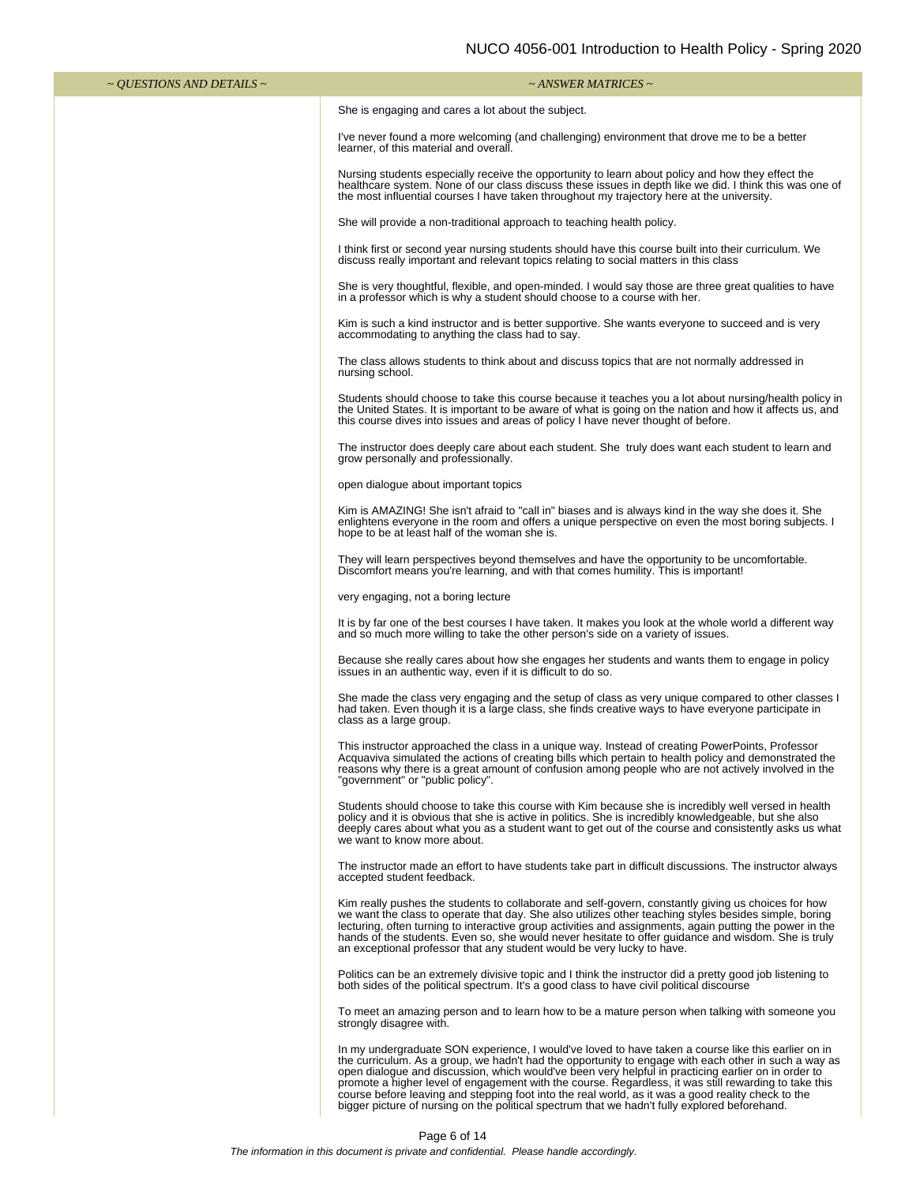| $\sim$ <i>QUESTIONS AND DETAILS</i> $\sim$ | $\sim$ ANSWER MATRICES $\sim$                                                                                                                                                                                                                                                                                                                                                                                                                                                                                                                                                                                                      |
|--------------------------------------------|------------------------------------------------------------------------------------------------------------------------------------------------------------------------------------------------------------------------------------------------------------------------------------------------------------------------------------------------------------------------------------------------------------------------------------------------------------------------------------------------------------------------------------------------------------------------------------------------------------------------------------|
|                                            | She is engaging and cares a lot about the subject.                                                                                                                                                                                                                                                                                                                                                                                                                                                                                                                                                                                 |
|                                            | I've never found a more welcoming (and challenging) environment that drove me to be a better<br>learner, of this material and overall.                                                                                                                                                                                                                                                                                                                                                                                                                                                                                             |
|                                            | Nursing students especially receive the opportunity to learn about policy and how they effect the<br>healthcare system. None of our class discuss these issues in depth like we did. I think this was one of<br>the most influential courses I have taken throughout my trajectory here at the university.                                                                                                                                                                                                                                                                                                                         |
|                                            | She will provide a non-traditional approach to teaching health policy.                                                                                                                                                                                                                                                                                                                                                                                                                                                                                                                                                             |
|                                            | I think first or second year nursing students should have this course built into their curriculum. We<br>discuss really important and relevant topics relating to social matters in this class                                                                                                                                                                                                                                                                                                                                                                                                                                     |
|                                            | She is very thoughtful, flexible, and open-minded. I would say those are three great qualities to have<br>in a professor which is why a student should choose to a course with her.                                                                                                                                                                                                                                                                                                                                                                                                                                                |
|                                            | Kim is such a kind instructor and is better supportive. She wants everyone to succeed and is very<br>accommodating to anything the class had to say.                                                                                                                                                                                                                                                                                                                                                                                                                                                                               |
|                                            | The class allows students to think about and discuss topics that are not normally addressed in<br>nursing school.                                                                                                                                                                                                                                                                                                                                                                                                                                                                                                                  |
|                                            | Students should choose to take this course because it teaches you a lot about nursing/health policy in<br>the United States. It is important to be aware of what is going on the nation and how it affects us, and<br>this course dives into issues and areas of policy I have never thought of before.                                                                                                                                                                                                                                                                                                                            |
|                                            | The instructor does deeply care about each student. She truly does want each student to learn and<br>grow personally and professionally.                                                                                                                                                                                                                                                                                                                                                                                                                                                                                           |
|                                            | open dialogue about important topics                                                                                                                                                                                                                                                                                                                                                                                                                                                                                                                                                                                               |
|                                            | Kim is AMAZING! She isn't afraid to "call in" biases and is always kind in the way she does it. She<br>enlightens everyone in the room and offers a unique perspective on even the most boring subjects. I<br>hope to be at least half of the woman she is.                                                                                                                                                                                                                                                                                                                                                                        |
|                                            | They will learn perspectives beyond themselves and have the opportunity to be uncomfortable.<br>Discomfort means you're learning, and with that comes humility. This is important!                                                                                                                                                                                                                                                                                                                                                                                                                                                 |
|                                            | very engaging, not a boring lecture                                                                                                                                                                                                                                                                                                                                                                                                                                                                                                                                                                                                |
|                                            | It is by far one of the best courses I have taken. It makes you look at the whole world a different way<br>and so much more willing to take the other person's side on a variety of issues.                                                                                                                                                                                                                                                                                                                                                                                                                                        |
|                                            | Because she really cares about how she engages her students and wants them to engage in policy<br>issues in an authentic way, even if it is difficult to do so.                                                                                                                                                                                                                                                                                                                                                                                                                                                                    |
|                                            | She made the class very engaging and the setup of class as very unique compared to other classes I<br>had taken. Even though it is a large class, she finds creative ways to have everyone participate in<br>class as a large group.                                                                                                                                                                                                                                                                                                                                                                                               |
|                                            | This instructor approached the class in a unique way. Instead of creating PowerPoints, Professor<br>Acquaviva simulated the actions of creating bills which pertain to health policy and demonstrated the<br>reasons why there is a great amount of confusion among people who are not actively involved in the<br>"government" or "public policy".                                                                                                                                                                                                                                                                                |
|                                            | Students should choose to take this course with Kim because she is incredibly well versed in health<br>policy and it is obvious that she is active in politics. She is incredibly knowledgeable, but she also<br>deeply cares about what you as a student want to get out of the course and consistently asks us what<br>we want to know more about.                                                                                                                                                                                                                                                                               |
|                                            | The instructor made an effort to have students take part in difficult discussions. The instructor always<br>accepted student feedback.                                                                                                                                                                                                                                                                                                                                                                                                                                                                                             |
|                                            | Kim really pushes the students to collaborate and self-govern, constantly giving us choices for how<br>we want the class to operate that day. She also utilizes other teaching styles besides simple, boring<br>lecturing, often turning to interactive group activities and assignments, again putting the power in the<br>hands of the students. Even so, she would never hesitate to offer guidance and wisdom. She is truly<br>an exceptional professor that any student would be very lucky to have.                                                                                                                          |
|                                            | Politics can be an extremely divisive topic and I think the instructor did a pretty good job listening to<br>both sides of the political spectrum. It's a good class to have civil political discourse                                                                                                                                                                                                                                                                                                                                                                                                                             |
|                                            | To meet an amazing person and to learn how to be a mature person when talking with someone you<br>strongly disagree with.                                                                                                                                                                                                                                                                                                                                                                                                                                                                                                          |
|                                            | In my undergraduate SON experience, I would've loved to have taken a course like this earlier on in<br>the curriculum. As a group, we hadn't had the opportunity to engage with each other in such a way as<br>open dialogue and discussion, which would've been very helpful in practicing earlier on in order to<br>promote a higher level of engagement with the course. Regardless, it was still rewarding to take this<br>course before leaving and stepping foot into the real world, as it was a good reality check to the<br>bigger picture of nursing on the political spectrum that we hadn't fully explored beforehand. |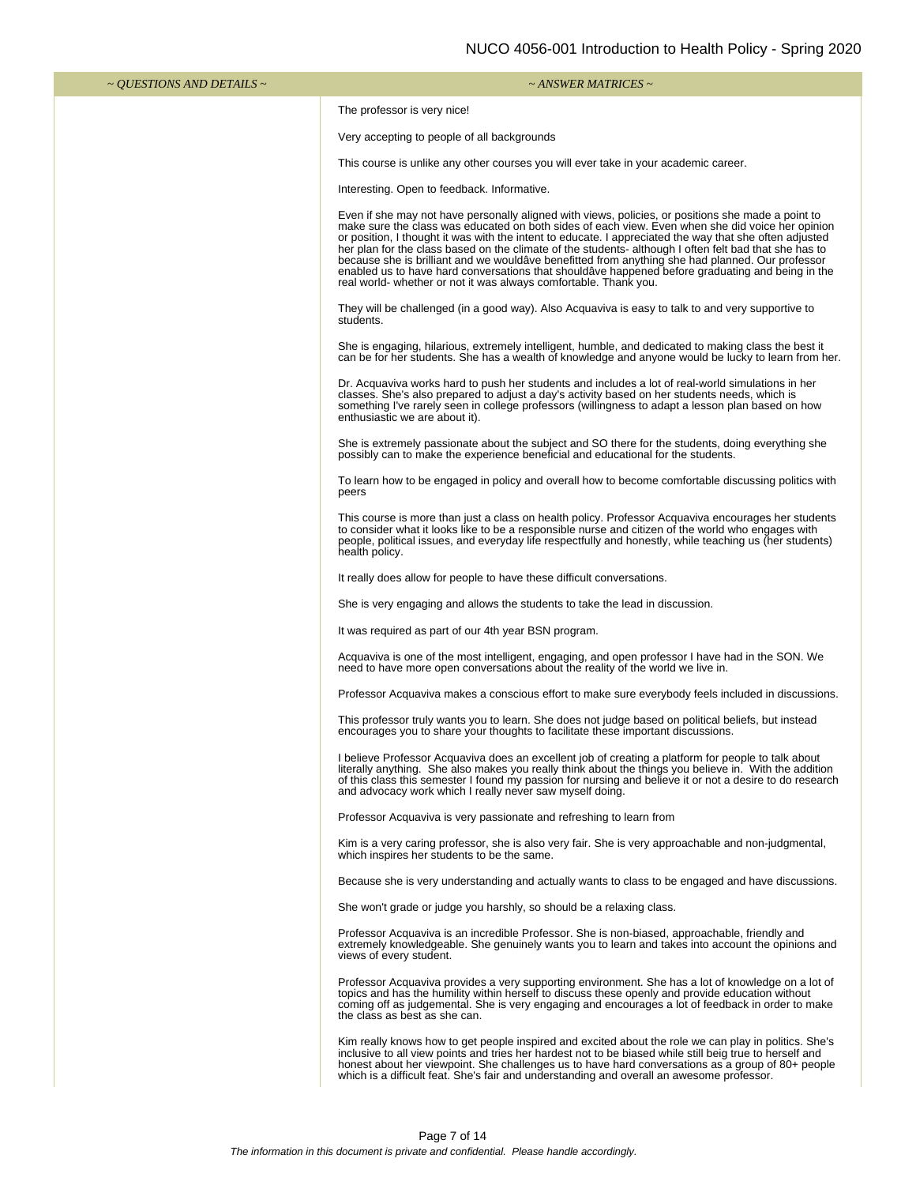| $\sim$ OUESTIONS AND DETAILS $\sim$ | $\sim$ ANSWER MATRICES $\sim$                                                                                                                                                                                                                                                                                                                                                                                                                                                                                                                                                                                                                                                                           |
|-------------------------------------|---------------------------------------------------------------------------------------------------------------------------------------------------------------------------------------------------------------------------------------------------------------------------------------------------------------------------------------------------------------------------------------------------------------------------------------------------------------------------------------------------------------------------------------------------------------------------------------------------------------------------------------------------------------------------------------------------------|
|                                     | The professor is very nice!                                                                                                                                                                                                                                                                                                                                                                                                                                                                                                                                                                                                                                                                             |
|                                     | Very accepting to people of all backgrounds                                                                                                                                                                                                                                                                                                                                                                                                                                                                                                                                                                                                                                                             |
|                                     | This course is unlike any other courses you will ever take in your academic career.                                                                                                                                                                                                                                                                                                                                                                                                                                                                                                                                                                                                                     |
|                                     | Interesting. Open to feedback. Informative.                                                                                                                                                                                                                                                                                                                                                                                                                                                                                                                                                                                                                                                             |
|                                     | Even if she may not have personally aligned with views, policies, or positions she made a point to<br>make sure the class was educated on both sides of each view. Even when she did voice her opinion<br>or position, I thought it was with the intent to educate. I appreciated the way that she often adjusted<br>her plan for the class based on the climate of the students- although I often felt bad that she has to<br>because she is brilliant and we wouldâve benefitted from anything she had planned. Our professor<br>enabled us to have hard conversations that shouldave happened before graduating and being in the<br>real world- whether or not it was always comfortable. Thank you. |
|                                     | They will be challenged (in a good way). Also Acquaviva is easy to talk to and very supportive to<br>students.                                                                                                                                                                                                                                                                                                                                                                                                                                                                                                                                                                                          |
|                                     | She is engaging, hilarious, extremely intelligent, humble, and dedicated to making class the best it<br>can be for her students. She has a wealth of knowledge and anyone would be lucky to learn from her.                                                                                                                                                                                                                                                                                                                                                                                                                                                                                             |
|                                     | Dr. Acquaviva works hard to push her students and includes a lot of real-world simulations in her<br>classes. She's also prepared to adjust a day's activity based on her students needs, which is<br>something I've rarely seen in college professors (willingness to adapt a lesson plan based on how<br>enthusiastic we are about it).                                                                                                                                                                                                                                                                                                                                                               |
|                                     | She is extremely passionate about the subject and SO there for the students, doing everything she<br>possibly can to make the experience beneficial and educational for the students.                                                                                                                                                                                                                                                                                                                                                                                                                                                                                                                   |
|                                     | To learn how to be engaged in policy and overall how to become comfortable discussing politics with<br>peers                                                                                                                                                                                                                                                                                                                                                                                                                                                                                                                                                                                            |
|                                     | This course is more than just a class on health policy. Professor Acquaviva encourages her students<br>to consider what it looks like to be a responsible nurse and citizen of the world who engages with<br>people, political issues, and everyday life respectfully and honestly, while teaching us (her students)<br>health policy.                                                                                                                                                                                                                                                                                                                                                                  |
|                                     | It really does allow for people to have these difficult conversations.                                                                                                                                                                                                                                                                                                                                                                                                                                                                                                                                                                                                                                  |
|                                     | She is very engaging and allows the students to take the lead in discussion.                                                                                                                                                                                                                                                                                                                                                                                                                                                                                                                                                                                                                            |
|                                     | It was required as part of our 4th year BSN program.                                                                                                                                                                                                                                                                                                                                                                                                                                                                                                                                                                                                                                                    |
|                                     | Acquaviva is one of the most intelligent, engaging, and open professor I have had in the SON. We<br>need to have more open conversations about the reality of the world we live in.                                                                                                                                                                                                                                                                                                                                                                                                                                                                                                                     |
|                                     | Professor Acquaviva makes a conscious effort to make sure everybody feels included in discussions.                                                                                                                                                                                                                                                                                                                                                                                                                                                                                                                                                                                                      |
|                                     | This professor truly wants you to learn. She does not judge based on political beliefs, but instead<br>encourages you to share your thoughts to facilitate these important discussions.                                                                                                                                                                                                                                                                                                                                                                                                                                                                                                                 |
|                                     | I believe Professor Acquaviva does an excellent job of creating a platform for people to talk about<br>literally anything. She also makes you really think about the things you believe in. With the addition<br>of this class this semester I found my passion for nursing and believe it or not a desire to do research<br>and advocacy work which I really never saw myself doing.                                                                                                                                                                                                                                                                                                                   |
|                                     | Professor Acquaviva is very passionate and refreshing to learn from                                                                                                                                                                                                                                                                                                                                                                                                                                                                                                                                                                                                                                     |
|                                     | Kim is a very caring professor, she is also very fair. She is very approachable and non-judgmental,<br>which inspires her students to be the same.                                                                                                                                                                                                                                                                                                                                                                                                                                                                                                                                                      |
|                                     | Because she is very understanding and actually wants to class to be engaged and have discussions.                                                                                                                                                                                                                                                                                                                                                                                                                                                                                                                                                                                                       |
|                                     | She won't grade or judge you harshly, so should be a relaxing class.                                                                                                                                                                                                                                                                                                                                                                                                                                                                                                                                                                                                                                    |
|                                     | Professor Acquaviva is an incredible Professor. She is non-biased, approachable, friendly and<br>extremely knowledgeable. She genuinely wants you to learn and takes into account the opinions and<br>views of every student.                                                                                                                                                                                                                                                                                                                                                                                                                                                                           |
|                                     | Professor Acquaviva provides a very supporting environment. She has a lot of knowledge on a lot of<br>topics and has the humility within herself to discuss these openly and provide education without<br>coming off as judgemental. She is very engaging and encourages a lot of feedback in order to make<br>the class as best as she can.                                                                                                                                                                                                                                                                                                                                                            |
|                                     | Kim really knows how to get people inspired and excited about the role we can play in politics. She's<br>inclusive to all view points and tries her hardest not to be biased while still beig true to herself and<br>honest about her viewpoint. She challenges us to have hard conversations as a group of 80+ people<br>which is a difficult feat. She's fair and understanding and overall an awesome professor.                                                                                                                                                                                                                                                                                     |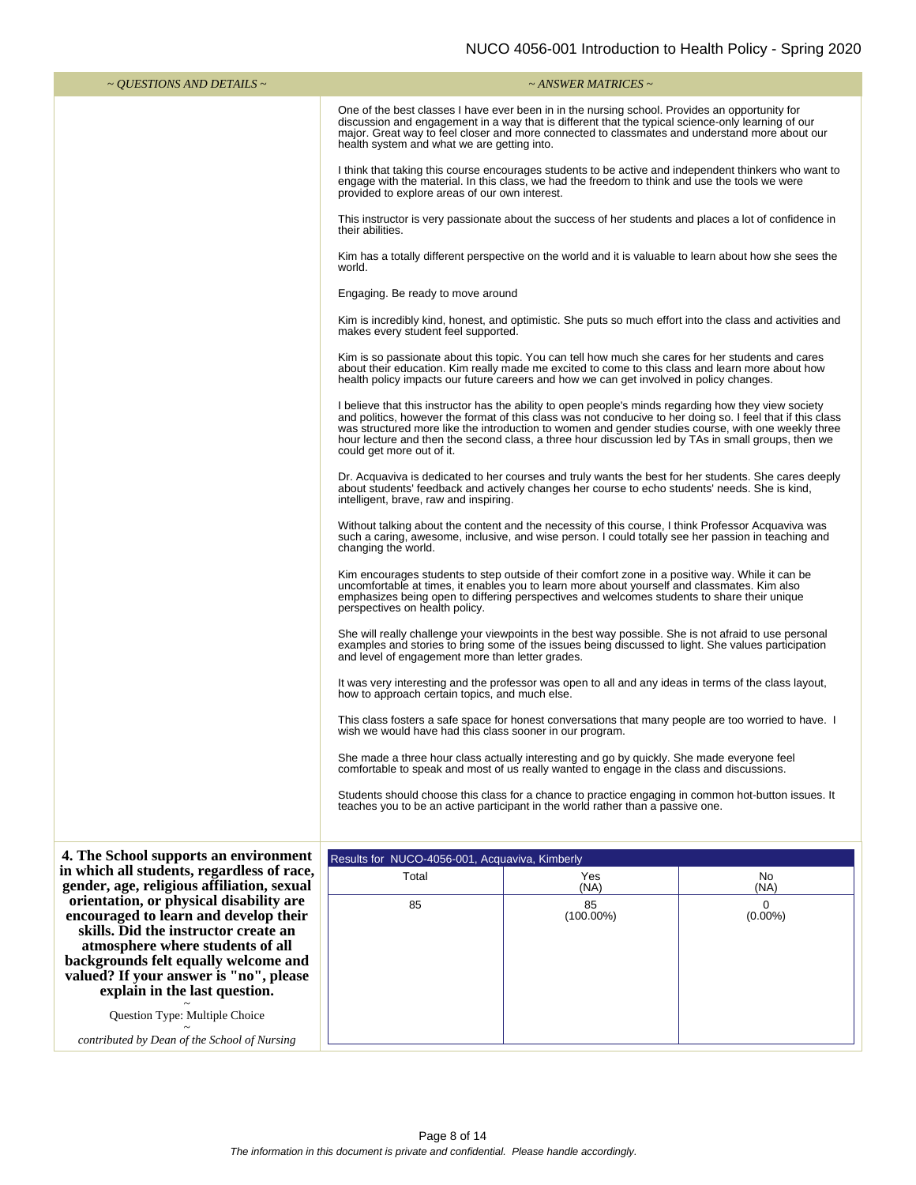| ~ <i>QUESTIONS AND DETAILS</i> ~                                                                                                                                       |                                                                                                                                                                                                                                                                                                                                                       | $\sim$ ANSWER MATRICES $\sim$                                                                                                                                                                                                                                                                                                                                                                                                      |                                   |  |  |  |  |  |  |
|------------------------------------------------------------------------------------------------------------------------------------------------------------------------|-------------------------------------------------------------------------------------------------------------------------------------------------------------------------------------------------------------------------------------------------------------------------------------------------------------------------------------------------------|------------------------------------------------------------------------------------------------------------------------------------------------------------------------------------------------------------------------------------------------------------------------------------------------------------------------------------------------------------------------------------------------------------------------------------|-----------------------------------|--|--|--|--|--|--|
|                                                                                                                                                                        | One of the best classes I have ever been in in the nursing school. Provides an opportunity for<br>discussion and engagement in a way that is different that the typical science-only learning of our<br>major. Great way to feel closer and more connected to classmates and understand more about our<br>health system and what we are getting into. |                                                                                                                                                                                                                                                                                                                                                                                                                                    |                                   |  |  |  |  |  |  |
|                                                                                                                                                                        | I think that taking this course encourages students to be active and independent thinkers who want to<br>engage with the material. In this class, we had the freedom to think and use the tools we were<br>provided to explore areas of our own interest.                                                                                             |                                                                                                                                                                                                                                                                                                                                                                                                                                    |                                   |  |  |  |  |  |  |
|                                                                                                                                                                        | This instructor is very passionate about the success of her students and places a lot of confidence in<br>their abilities.                                                                                                                                                                                                                            |                                                                                                                                                                                                                                                                                                                                                                                                                                    |                                   |  |  |  |  |  |  |
|                                                                                                                                                                        | Kim has a totally different perspective on the world and it is valuable to learn about how she sees the<br>world.                                                                                                                                                                                                                                     |                                                                                                                                                                                                                                                                                                                                                                                                                                    |                                   |  |  |  |  |  |  |
|                                                                                                                                                                        | Engaging. Be ready to move around                                                                                                                                                                                                                                                                                                                     |                                                                                                                                                                                                                                                                                                                                                                                                                                    |                                   |  |  |  |  |  |  |
|                                                                                                                                                                        | makes every student feel supported.                                                                                                                                                                                                                                                                                                                   | Kim is incredibly kind, honest, and optimistic. She puts so much effort into the class and activities and                                                                                                                                                                                                                                                                                                                          |                                   |  |  |  |  |  |  |
|                                                                                                                                                                        |                                                                                                                                                                                                                                                                                                                                                       | Kim is so passionate about this topic. You can tell how much she cares for her students and cares<br>about their education. Kim really made me excited to come to this class and learn more about how<br>health policy impacts our future careers and how we can get involved in policy changes.                                                                                                                                   |                                   |  |  |  |  |  |  |
|                                                                                                                                                                        | could get more out of it.                                                                                                                                                                                                                                                                                                                             | I believe that this instructor has the ability to open people's minds regarding how they view society<br>and politics, however the format of this class was not conducive to her doing so. I feel that if this class<br>was structured more like the introduction to women and gender studies course, with one weekly three<br>hour lecture and then the second class, a three hour discussion led by TAs in small groups, then we |                                   |  |  |  |  |  |  |
|                                                                                                                                                                        | Dr. Acquaviva is dedicated to her courses and truly wants the best for her students. She cares deeply<br>about students' feedback and actively changes her course to echo students' needs. She is kind,<br>intelligent, brave, raw and inspiring.                                                                                                     |                                                                                                                                                                                                                                                                                                                                                                                                                                    |                                   |  |  |  |  |  |  |
|                                                                                                                                                                        | Without talking about the content and the necessity of this course, I think Professor Acquaviva was<br>such a caring, awesome, inclusive, and wise person. I could totally see her passion in teaching and<br>changing the world.                                                                                                                     |                                                                                                                                                                                                                                                                                                                                                                                                                                    |                                   |  |  |  |  |  |  |
|                                                                                                                                                                        | Kim encourages students to step outside of their comfort zone in a positive way. While it can be<br>uncomfortable at times, it enables you to learn more about yourself and classmates. Kim also<br>emphasizes being open to differing perspectives and welcomes students to share their unique<br>perspectives on health policy.                     |                                                                                                                                                                                                                                                                                                                                                                                                                                    |                                   |  |  |  |  |  |  |
|                                                                                                                                                                        | She will really challenge your viewpoints in the best way possible. She is not afraid to use personal<br>examples and stories to bring some of the issues being discussed to light. She values participation<br>and level of engagement more than letter grades.                                                                                      |                                                                                                                                                                                                                                                                                                                                                                                                                                    |                                   |  |  |  |  |  |  |
|                                                                                                                                                                        | It was very interesting and the professor was open to all and any ideas in terms of the class layout,<br>how to approach certain topics, and much else.                                                                                                                                                                                               |                                                                                                                                                                                                                                                                                                                                                                                                                                    |                                   |  |  |  |  |  |  |
|                                                                                                                                                                        | This class fosters a safe space for honest conversations that many people are too worried to have. I<br>wish we would have had this class sooner in our program.                                                                                                                                                                                      |                                                                                                                                                                                                                                                                                                                                                                                                                                    |                                   |  |  |  |  |  |  |
|                                                                                                                                                                        |                                                                                                                                                                                                                                                                                                                                                       | She made a three hour class actually interesting and go by quickly. She made everyone feel<br>comfortable to speak and most of us really wanted to engage in the class and discussions.                                                                                                                                                                                                                                            |                                   |  |  |  |  |  |  |
|                                                                                                                                                                        | Students should choose this class for a chance to practice engaging in common hot-button issues. It<br>teaches you to be an active participant in the world rather than a passive one.                                                                                                                                                                |                                                                                                                                                                                                                                                                                                                                                                                                                                    |                                   |  |  |  |  |  |  |
|                                                                                                                                                                        |                                                                                                                                                                                                                                                                                                                                                       |                                                                                                                                                                                                                                                                                                                                                                                                                                    |                                   |  |  |  |  |  |  |
| 4. The School supports an environment<br>in which all students, regardless of race,                                                                                    | Results for NUCO-4056-001, Acquaviva, Kimberly<br>Total                                                                                                                                                                                                                                                                                               | Yes                                                                                                                                                                                                                                                                                                                                                                                                                                | No                                |  |  |  |  |  |  |
| gender, age, religious affiliation, sexual<br>orientation, or physical disability are<br>encouraged to learn and develop their<br>skills. Did the instructor create an | 85                                                                                                                                                                                                                                                                                                                                                    | (NA)<br>85<br>$(100.00\%)$                                                                                                                                                                                                                                                                                                                                                                                                         | (NA)<br>$\mathbf 0$<br>$(0.00\%)$ |  |  |  |  |  |  |
| atmosphere where students of all<br>backgrounds felt equally welcome and<br>valued? If your answer is "no", please<br>explain in the last question.                    |                                                                                                                                                                                                                                                                                                                                                       |                                                                                                                                                                                                                                                                                                                                                                                                                                    |                                   |  |  |  |  |  |  |
| Question Type: Multiple Choice                                                                                                                                         |                                                                                                                                                                                                                                                                                                                                                       |                                                                                                                                                                                                                                                                                                                                                                                                                                    |                                   |  |  |  |  |  |  |

*contributed by Dean of the School of Nursing*

Ш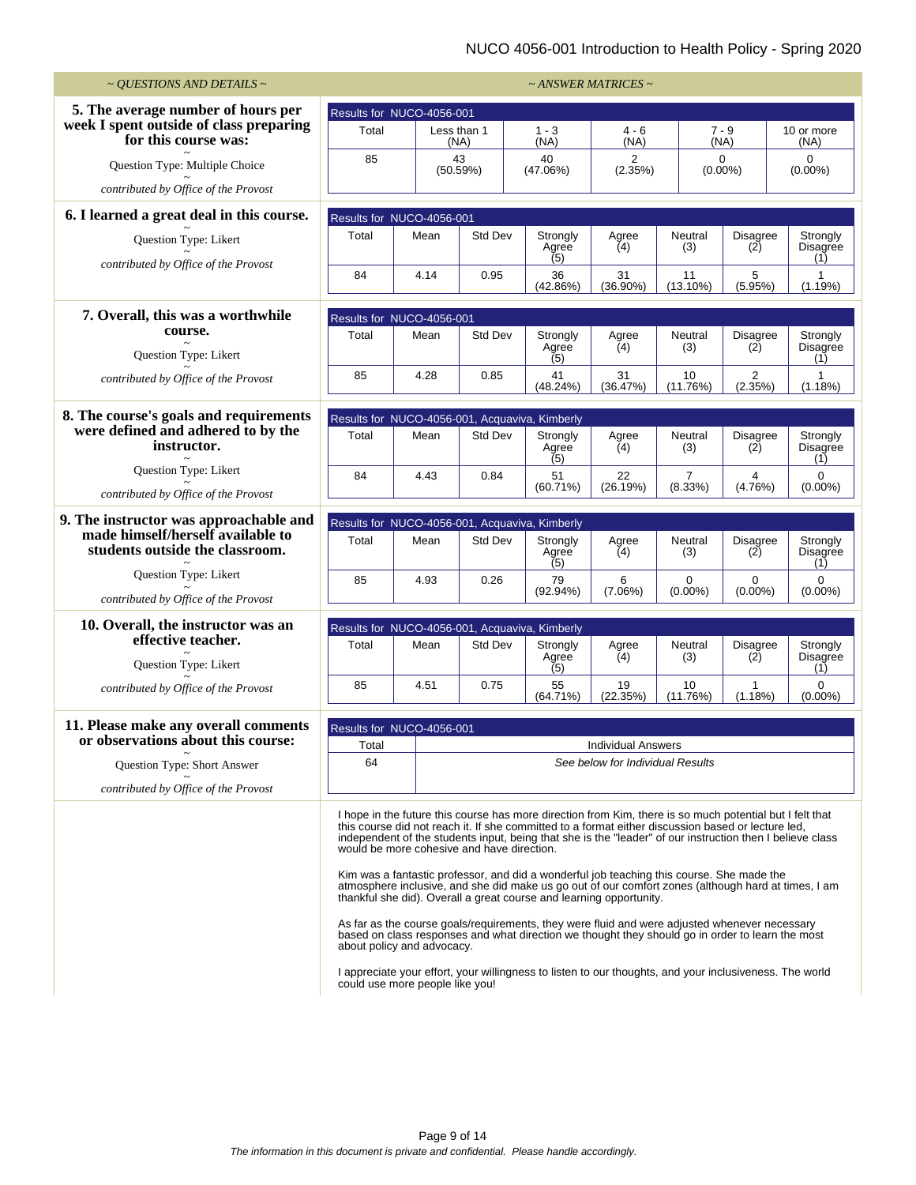## NUCO 4056-001 Introduction to Health Policy - Spring 2020

| $\sim$ QUESTIONS AND DETAILS $\sim$                                  | ~ ANSWER MATRICES ~                            |                                                                                                             |                |                 |                                                                                                                                                                                                                                                                                                                                                                                                                                                                                                                                                                                                                                                                                                                                                                                                                                                                                                                        |                                  |                           |                           |                                    |
|----------------------------------------------------------------------|------------------------------------------------|-------------------------------------------------------------------------------------------------------------|----------------|-----------------|------------------------------------------------------------------------------------------------------------------------------------------------------------------------------------------------------------------------------------------------------------------------------------------------------------------------------------------------------------------------------------------------------------------------------------------------------------------------------------------------------------------------------------------------------------------------------------------------------------------------------------------------------------------------------------------------------------------------------------------------------------------------------------------------------------------------------------------------------------------------------------------------------------------------|----------------------------------|---------------------------|---------------------------|------------------------------------|
| 5. The average number of hours per                                   | Results for NUCO-4056-001                      |                                                                                                             |                |                 |                                                                                                                                                                                                                                                                                                                                                                                                                                                                                                                                                                                                                                                                                                                                                                                                                                                                                                                        |                                  |                           |                           |                                    |
| week I spent outside of class preparing<br>for this course was:      | Total<br>Less than 1                           |                                                                                                             | (NA)           | $1 - 3$<br>(NA) |                                                                                                                                                                                                                                                                                                                                                                                                                                                                                                                                                                                                                                                                                                                                                                                                                                                                                                                        | $4 - 6$<br>(NA)                  |                           | $7 - 9$<br>(NA)           | 10 or more<br>(NA)                 |
| Question Type: Multiple Choice                                       | 85                                             |                                                                                                             | 43<br>(50.59%) | 40<br>(47.06%)  |                                                                                                                                                                                                                                                                                                                                                                                                                                                                                                                                                                                                                                                                                                                                                                                                                                                                                                                        | 2<br>(2.35%)                     |                           | 0<br>$(0.00\%)$           | $\Omega$<br>$(0.00\%)$             |
| contributed by Office of the Provost                                 |                                                |                                                                                                             |                |                 |                                                                                                                                                                                                                                                                                                                                                                                                                                                                                                                                                                                                                                                                                                                                                                                                                                                                                                                        |                                  |                           |                           |                                    |
| 6. I learned a great deal in this course.                            | Results for NUCO-4056-001                      |                                                                                                             |                |                 |                                                                                                                                                                                                                                                                                                                                                                                                                                                                                                                                                                                                                                                                                                                                                                                                                                                                                                                        |                                  |                           |                           |                                    |
| Question Type: Likert                                                | Total                                          | Mean                                                                                                        | Std Dev        |                 | Strongly<br>Agree                                                                                                                                                                                                                                                                                                                                                                                                                                                                                                                                                                                                                                                                                                                                                                                                                                                                                                      | Agree<br>(4)                     | Neutral<br>(3)            | <b>Disagree</b><br>(2)    | Strongly<br>Disagree               |
| contributed by Office of the Provost                                 | 84                                             | 4.14                                                                                                        | 0.95           |                 | (5)<br>36<br>(42.86%)                                                                                                                                                                                                                                                                                                                                                                                                                                                                                                                                                                                                                                                                                                                                                                                                                                                                                                  | 31<br>$(36.90\%)$                | 11<br>$(13.10\%)$         | 5<br>(5.95%)              | (1)<br>$\mathbf{1}$<br>(1.19%)     |
|                                                                      |                                                |                                                                                                             |                |                 |                                                                                                                                                                                                                                                                                                                                                                                                                                                                                                                                                                                                                                                                                                                                                                                                                                                                                                                        |                                  |                           |                           |                                    |
| 7. Overall, this was a worthwhile<br>course.                         | Results for NUCO-4056-001                      |                                                                                                             |                |                 |                                                                                                                                                                                                                                                                                                                                                                                                                                                                                                                                                                                                                                                                                                                                                                                                                                                                                                                        |                                  |                           |                           |                                    |
| Question Type: Likert                                                | Total                                          | Mean                                                                                                        | Std Dev        |                 | Strongly<br>Agree<br>(5)                                                                                                                                                                                                                                                                                                                                                                                                                                                                                                                                                                                                                                                                                                                                                                                                                                                                                               | Agree<br>(4)                     | Neutral<br>(3)            | <b>Disagree</b><br>(2)    | Strongly<br><b>Disagree</b><br>(1) |
| contributed by Office of the Provost                                 | 85                                             | 4.28                                                                                                        | 0.85           |                 | 41<br>(48.24%)                                                                                                                                                                                                                                                                                                                                                                                                                                                                                                                                                                                                                                                                                                                                                                                                                                                                                                         | 31<br>(36.47%)                   | 10<br>(11.76%)            | $\overline{2}$<br>(2.35%) | $\mathbf{1}$<br>(1.18%)            |
| 8. The course's goals and requirements                               | Results for NUCO-4056-001, Acquaviva, Kimberly |                                                                                                             |                |                 |                                                                                                                                                                                                                                                                                                                                                                                                                                                                                                                                                                                                                                                                                                                                                                                                                                                                                                                        |                                  |                           |                           |                                    |
| were defined and adhered to by the<br>instructor.                    | Total                                          | Mean                                                                                                        | Std Dev        |                 | Strongly<br>Agree<br>(5)                                                                                                                                                                                                                                                                                                                                                                                                                                                                                                                                                                                                                                                                                                                                                                                                                                                                                               | Agree<br>(4)                     | Neutral<br>(3)            | <b>Disagree</b><br>(2)    | Strongly<br>Disagree<br>(1)        |
| Question Type: Likert                                                | 84                                             | 4.43                                                                                                        | 0.84           |                 | 51<br>$(60.71\%)$                                                                                                                                                                                                                                                                                                                                                                                                                                                                                                                                                                                                                                                                                                                                                                                                                                                                                                      | 22<br>(26.19%)                   | $\overline{7}$<br>(8.33%) | 4<br>(4.76%)              | $\mathbf 0$<br>$(0.00\%)$          |
| contributed by Office of the Provost                                 |                                                |                                                                                                             |                |                 |                                                                                                                                                                                                                                                                                                                                                                                                                                                                                                                                                                                                                                                                                                                                                                                                                                                                                                                        |                                  |                           |                           |                                    |
| 9. The instructor was approachable and                               | Results for NUCO-4056-001, Acquaviva, Kimberly |                                                                                                             |                |                 |                                                                                                                                                                                                                                                                                                                                                                                                                                                                                                                                                                                                                                                                                                                                                                                                                                                                                                                        |                                  |                           |                           |                                    |
| made himself/herself available to<br>students outside the classroom. | Total                                          | Mean                                                                                                        | Std Dev        |                 | Strongly<br>Agree<br>(5)                                                                                                                                                                                                                                                                                                                                                                                                                                                                                                                                                                                                                                                                                                                                                                                                                                                                                               | Agree<br>(4)                     | Neutral<br>(3)            | <b>Disagree</b><br>(2)    | Strongly<br>Disagree<br>(1)        |
| Question Type: Likert                                                | 85                                             | 4.93                                                                                                        | 0.26           |                 | 79<br>$(92.94\%)$                                                                                                                                                                                                                                                                                                                                                                                                                                                                                                                                                                                                                                                                                                                                                                                                                                                                                                      | 6<br>$(7.06\%)$                  | 0<br>$(0.00\%)$           | 0<br>$(0.00\%)$           | $\mathbf 0$<br>$(0.00\%)$          |
| contributed by Office of the Provost                                 |                                                |                                                                                                             |                |                 |                                                                                                                                                                                                                                                                                                                                                                                                                                                                                                                                                                                                                                                                                                                                                                                                                                                                                                                        |                                  |                           |                           |                                    |
| 10. Overall, the instructor was an<br>effective teacher.             | Results for NUCO-4056-001, Acquaviva, Kimberly |                                                                                                             |                |                 |                                                                                                                                                                                                                                                                                                                                                                                                                                                                                                                                                                                                                                                                                                                                                                                                                                                                                                                        |                                  |                           |                           |                                    |
| Question Type: Likert                                                | Total                                          | Mean                                                                                                        | Std Dev        |                 | Strongly<br>Agree                                                                                                                                                                                                                                                                                                                                                                                                                                                                                                                                                                                                                                                                                                                                                                                                                                                                                                      | Agree<br>(4)                     | Neutral<br>(3)            | Disagree<br>(2)           | Strongly<br><b>Disagree</b><br>(1) |
| contributed by Office of the Provost                                 | 85                                             | 4.51                                                                                                        | 0.75           |                 | 55<br>$(64.71\%)$                                                                                                                                                                                                                                                                                                                                                                                                                                                                                                                                                                                                                                                                                                                                                                                                                                                                                                      | 19<br>(22.35%)                   | 10<br>(11.76%)            | 1<br>(1.18%)              | 0<br>$(0.00\%)$                    |
| 11. Please make any overall comments                                 | Results for NUCO-4056-001                      |                                                                                                             |                |                 |                                                                                                                                                                                                                                                                                                                                                                                                                                                                                                                                                                                                                                                                                                                                                                                                                                                                                                                        |                                  |                           |                           |                                    |
| or observations about this course:                                   | Total                                          |                                                                                                             |                |                 |                                                                                                                                                                                                                                                                                                                                                                                                                                                                                                                                                                                                                                                                                                                                                                                                                                                                                                                        | <b>Individual Answers</b>        |                           |                           |                                    |
| Question Type: Short Answer                                          | 64                                             |                                                                                                             |                |                 |                                                                                                                                                                                                                                                                                                                                                                                                                                                                                                                                                                                                                                                                                                                                                                                                                                                                                                                        | See below for Individual Results |                           |                           |                                    |
| contributed by Office of the Provost                                 |                                                |                                                                                                             |                |                 |                                                                                                                                                                                                                                                                                                                                                                                                                                                                                                                                                                                                                                                                                                                                                                                                                                                                                                                        |                                  |                           |                           |                                    |
|                                                                      |                                                | would be more cohesive and have direction.<br>about policy and advocacy.<br>could use more people like you! |                |                 | I hope in the future this course has more direction from Kim, there is so much potential but I felt that<br>this course did not reach it. If she committed to a format either discussion based or lecture led.<br>independent of the students input, being that she is the "leader" of our instruction then I believe class<br>Kim was a fantastic professor, and did a wonderful job teaching this course. She made the<br>atmosphere inclusive, and she did make us go out of our comfort zones (although hard at times, I am<br>thankful she did). Overall a great course and learning opportunity.<br>As far as the course goals/requirements, they were fluid and were adjusted whenever necessary<br>based on class responses and what direction we thought they should go in order to learn the most<br>I appreciate your effort, your willingness to listen to our thoughts, and your inclusiveness. The world |                                  |                           |                           |                                    |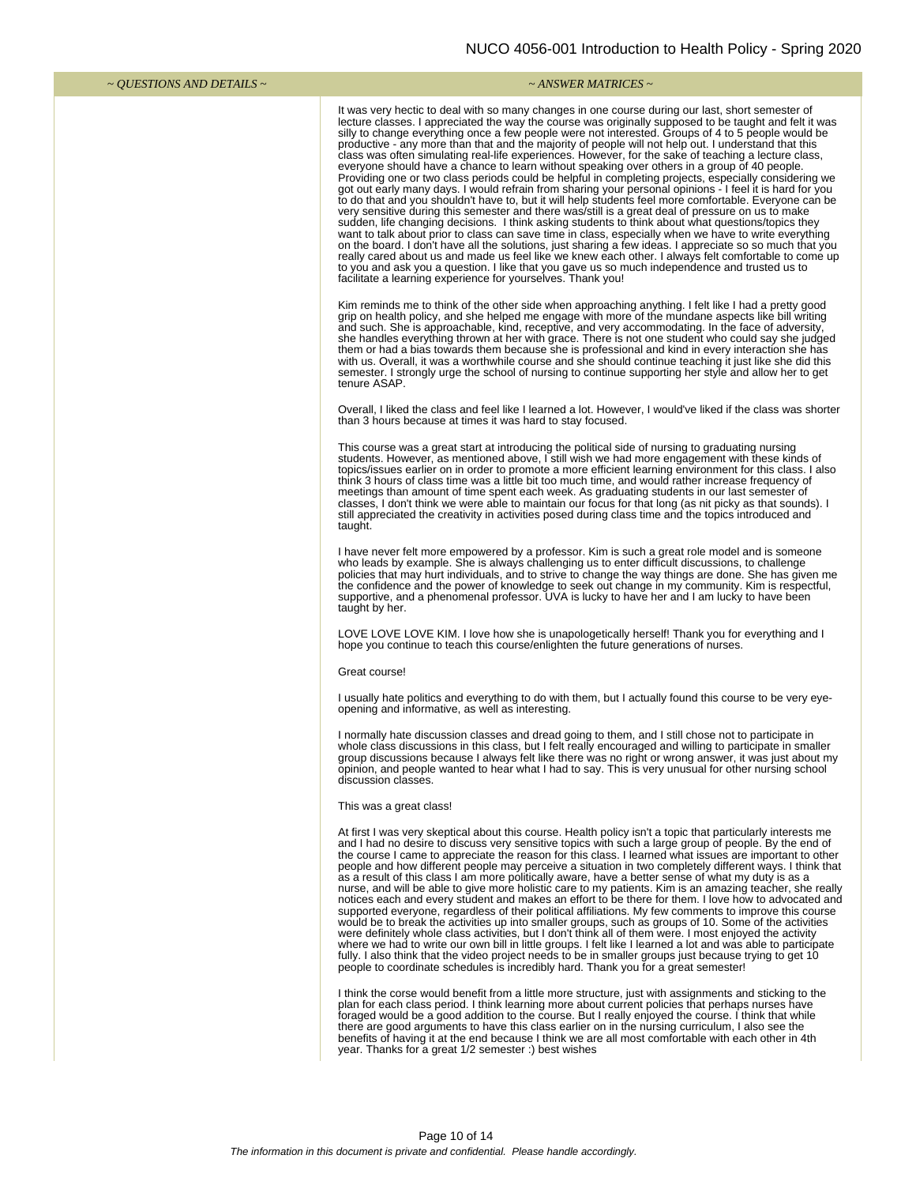| ~ <i>OUESTIONS AND DETAILS</i> ~ | ~ ANSWER MATRICES ~                                                                                                                                                                                                                                                                                                                                                                                                                                                                                                                                                                                                                                                                                                                                                                                                                                                                                                                                                                                                                                                                                                                                                                                                                                                                                                                                                                                                                                                                                                                                                                                                                                                     |
|----------------------------------|-------------------------------------------------------------------------------------------------------------------------------------------------------------------------------------------------------------------------------------------------------------------------------------------------------------------------------------------------------------------------------------------------------------------------------------------------------------------------------------------------------------------------------------------------------------------------------------------------------------------------------------------------------------------------------------------------------------------------------------------------------------------------------------------------------------------------------------------------------------------------------------------------------------------------------------------------------------------------------------------------------------------------------------------------------------------------------------------------------------------------------------------------------------------------------------------------------------------------------------------------------------------------------------------------------------------------------------------------------------------------------------------------------------------------------------------------------------------------------------------------------------------------------------------------------------------------------------------------------------------------------------------------------------------------|
|                                  | It was very hectic to deal with so many changes in one course during our last, short semester of<br>lecture classes. I appreciated the way the course was originally supposed to be taught and felt it was<br>silly to change everything once a few people were not interested. Groups of 4 to 5 people would be<br>productive - any more than that and the majority of people will not help out. I understand that this<br>class was often simulating real-life experiences. However, for the sake of teaching a lecture class,<br>everyone should have a chance to learn without speaking over others in a group of 40 people.<br>Providing one or two class periods could be helpful in completing projects, especially considering we<br>got out early many days. I would refrain from sharing your personal opinions - I feel it is hard for you<br>to do that and you shouldn't have to, but it will help students feel more comfortable. Everyone can be<br>very sensitive during this semester and there was/still is a great deal of pressure on us to make<br>sudden, life changing decisions. I think asking students to think about what questions/topics they<br>want to talk about prior to class can save time in class, especially when we have to write everything<br>on the board. I don't have all the solutions, just sharing a few ideas. I appreciate so so much that you<br>really cared about us and made us feel like we knew each other. I always felt comfortable to come up<br>to you and ask you a question. I like that you gave us so much independence and trusted us to<br>facilitate a learning experience for yourselves. Thank you! |
|                                  | Kim reminds me to think of the other side when approaching anything. I felt like I had a pretty good<br>grip on health policy, and she helped me engage with more of the mundane aspects like bill writing<br>and such. She is approachable, kind, receptive, and very accommodating. In the face of adversity,<br>she handles everything thrown at her with grace. There is not one student who could say she judged<br>them or had a bias towards them because she is professional and kind in every interaction she has<br>with us. Overall, it was a worthwhile course and she should continue teaching it just like she did this<br>semester. I strongly urge the school of nursing to continue supporting her style and allow her to get<br>tenure ASAP.                                                                                                                                                                                                                                                                                                                                                                                                                                                                                                                                                                                                                                                                                                                                                                                                                                                                                                          |
|                                  | Overall, I liked the class and feel like I learned a lot. However, I would've liked if the class was shorter<br>than 3 hours because at times it was hard to stay focused.                                                                                                                                                                                                                                                                                                                                                                                                                                                                                                                                                                                                                                                                                                                                                                                                                                                                                                                                                                                                                                                                                                                                                                                                                                                                                                                                                                                                                                                                                              |
|                                  | This course was a great start at introducing the political side of nursing to graduating nursing<br>students. However, as mentioned above, I still wish we had more engagement with these kinds of<br>topics/issues earlier on in order to promote a more efficient learning environment for this class. I also<br>think 3 hours of class time was a little bit too much time, and would rather increase frequency of<br>meetings than amount of time spent each week. As graduating students in our last semester of<br>classes, I don't think we were able to maintain our focus for that long (as nit picky as that sounds). I<br>still appreciated the creativity in activities posed during class time and the topics introduced and<br>taught.                                                                                                                                                                                                                                                                                                                                                                                                                                                                                                                                                                                                                                                                                                                                                                                                                                                                                                                    |
|                                  | I have never felt more empowered by a professor. Kim is such a great role model and is someone<br>who leads by example. She is always challenging us to enter difficult discussions, to challenge<br>policies that may hurt individuals, and to strive to change the way things are done. She has given me<br>the confidence and the power of knowledge to seek out change in my community. Kim is respectful,<br>supportive, and a phenomenal professor. UVA is lucky to have her and I am lucky to have been<br>taught by her.                                                                                                                                                                                                                                                                                                                                                                                                                                                                                                                                                                                                                                                                                                                                                                                                                                                                                                                                                                                                                                                                                                                                        |
|                                  | LOVE LOVE LOVE KIM. I love how she is unapologetically herself! Thank you for everything and I<br>hope you continue to teach this course/enlighten the future generations of nurses.                                                                                                                                                                                                                                                                                                                                                                                                                                                                                                                                                                                                                                                                                                                                                                                                                                                                                                                                                                                                                                                                                                                                                                                                                                                                                                                                                                                                                                                                                    |
|                                  | Great course!                                                                                                                                                                                                                                                                                                                                                                                                                                                                                                                                                                                                                                                                                                                                                                                                                                                                                                                                                                                                                                                                                                                                                                                                                                                                                                                                                                                                                                                                                                                                                                                                                                                           |
|                                  | I usually hate politics and everything to do with them, but I actually found this course to be very eye-<br>opening and informative, as well as interesting.                                                                                                                                                                                                                                                                                                                                                                                                                                                                                                                                                                                                                                                                                                                                                                                                                                                                                                                                                                                                                                                                                                                                                                                                                                                                                                                                                                                                                                                                                                            |
|                                  | I normally hate discussion classes and dread going to them, and I still chose not to participate in<br>whole class discussions in this class, but I felt really encouraged and willing to participate in smaller<br>group discussions because I always felt like there was no right or wrong answer, it was just about my<br>opinion, and people wanted to hear what I had to say. This is very unusual for other nursing school<br>discussion classes.                                                                                                                                                                                                                                                                                                                                                                                                                                                                                                                                                                                                                                                                                                                                                                                                                                                                                                                                                                                                                                                                                                                                                                                                                 |
|                                  | This was a great class!                                                                                                                                                                                                                                                                                                                                                                                                                                                                                                                                                                                                                                                                                                                                                                                                                                                                                                                                                                                                                                                                                                                                                                                                                                                                                                                                                                                                                                                                                                                                                                                                                                                 |
|                                  | At first I was very skeptical about this course. Health policy isn't a topic that particularly interests me<br>and I had no desire to discuss very sensitive topics with such a large group of people. By the end of<br>the course I came to appreciate the reason for this class. I learned what issues are important to other<br>people and how different people may perceive a situation in two completely different ways. I think that<br>as a result of this class I am more politically aware, have a better sense of what my duty is as a<br>nurse, and will be able to give more holistic care to my patients. Kim is an amazing teacher, she really<br>notices each and every student and makes an effort to be there for them. I love how to advocated and<br>supported everyone, regardless of their political affiliations. My few comments to improve this course<br>would be to break the activities up into smaller groups, such as groups of 10. Some of the activities<br>were definitely whole class activities, but I don't think all of them were. I most enjoyed the activity<br>where we had to write our own bill in little groups. I felt like I learned a lot and was able to participate<br>fully. I also think that the video project needs to be in smaller groups just because trying to get 10<br>people to coordinate schedules is incredibly hard. Thank you for a great semester!                                                                                                                                                                                                                                                      |
|                                  | I think the corse would benefit from a little more structure, just with assignments and sticking to the<br>plan for each class period. I think learning more about current policies that perhaps nurses have<br>foraged would be a good addition to the course. But I really enjoyed the course. I think that while<br>there are good arguments to have this class earlier on in the nursing curriculum, I also see the<br>benefits of having it at the end because I think we are all most comfortable with each other in 4th<br>year. Thanks for a great 1/2 semester :) best wishes                                                                                                                                                                                                                                                                                                                                                                                                                                                                                                                                                                                                                                                                                                                                                                                                                                                                                                                                                                                                                                                                                  |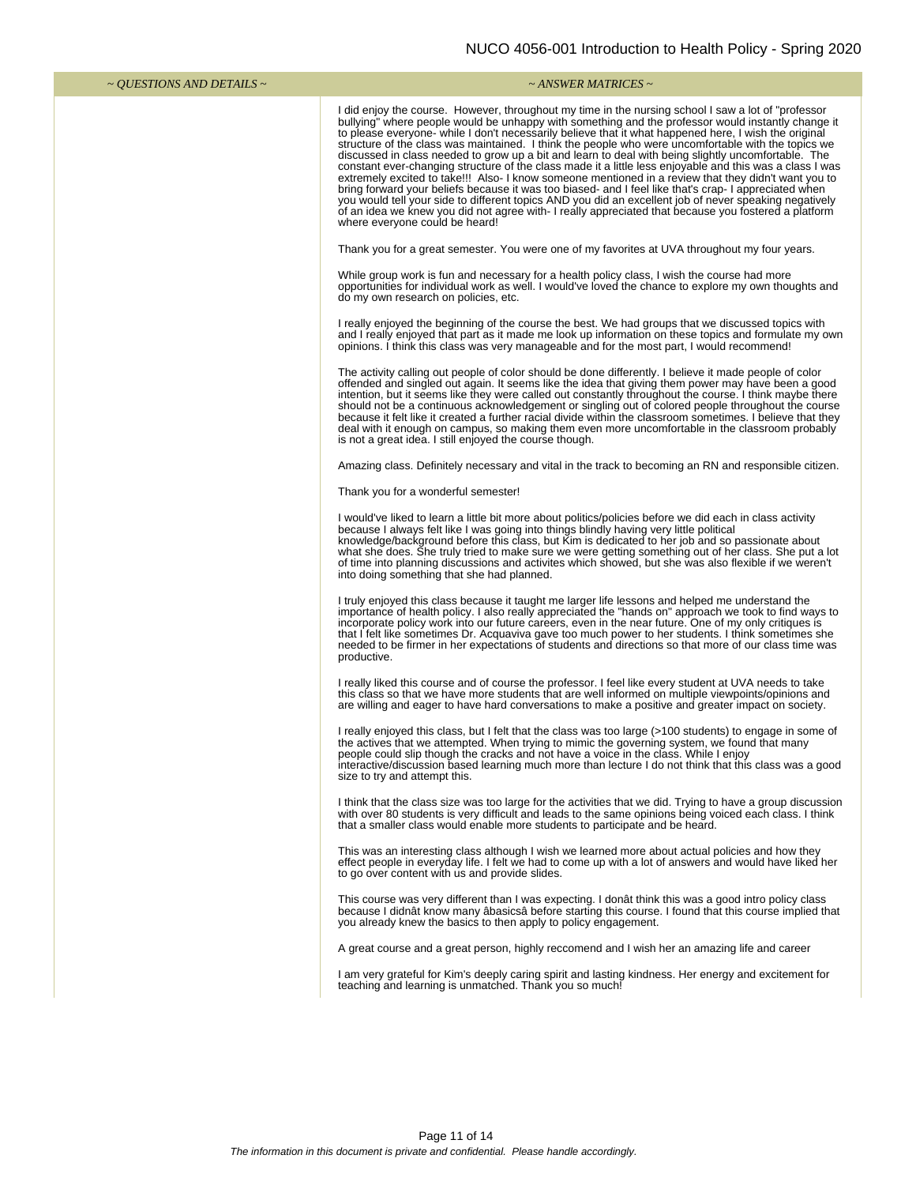| ~ <i>QUESTIONS AND DETAILS</i> ~ | $\sim$ ANSWER MATRICES $\sim$                                                                                                                                                                                                                                                                                                                                                                                                                                                                                                                                                                                                                                                                                                                                                                                                                                                                                                                                                                                                                                                                                    |
|----------------------------------|------------------------------------------------------------------------------------------------------------------------------------------------------------------------------------------------------------------------------------------------------------------------------------------------------------------------------------------------------------------------------------------------------------------------------------------------------------------------------------------------------------------------------------------------------------------------------------------------------------------------------------------------------------------------------------------------------------------------------------------------------------------------------------------------------------------------------------------------------------------------------------------------------------------------------------------------------------------------------------------------------------------------------------------------------------------------------------------------------------------|
|                                  | I did enjoy the course. However, throughout my time in the nursing school I saw a lot of "professor<br>bullying" where people would be unhappy with something and the professor would instantly change it<br>to please everyone- while I don't necessarily believe that it what happened here, I wish the original<br>structure of the class was maintained. I think the people who were uncomfortable with the topics we<br>discussed in class needed to grow up a bit and learn to deal with being slightly uncomfortable. The<br>constant ever-changing structure of the class made it a little less enjoyable and this was a class I was<br>extremely excited to take!!! Also-I know someone mentioned in a review that they didn't want you to<br>bring forward your beliefs because it was too biased- and I feel like that's crap- I appreciated when<br>you would tell your side to different topics AND you did an excellent job of never speaking negatively<br>of an idea we knew you did not agree with- I really appreciated that because you fostered a platform<br>where everyone could be heard! |
|                                  | Thank you for a great semester. You were one of my favorites at UVA throughout my four years.                                                                                                                                                                                                                                                                                                                                                                                                                                                                                                                                                                                                                                                                                                                                                                                                                                                                                                                                                                                                                    |
|                                  | While group work is fun and necessary for a health policy class, I wish the course had more<br>opportunities for individual work as well. I would've loved the chance to explore my own thoughts and<br>do my own research on policies, etc.                                                                                                                                                                                                                                                                                                                                                                                                                                                                                                                                                                                                                                                                                                                                                                                                                                                                     |
|                                  | I really enjoyed the beginning of the course the best. We had groups that we discussed topics with<br>and I really enjoyed that part as it made me look up information on these topics and formulate my own<br>opinions. I think this class was very manageable and for the most part, I would recommend!                                                                                                                                                                                                                                                                                                                                                                                                                                                                                                                                                                                                                                                                                                                                                                                                        |
|                                  | The activity calling out people of color should be done differently. I believe it made people of color<br>offended and singled out again. It seems like the idea that giving them power may have been a good<br>intention, but it seems like they were called out constantly throughout the course. I think maybe there<br>should not be a continuous acknowledgement or singling out of colored people throughout the course<br>because it felt like it created a further racial divide within the classroom sometimes. I believe that they<br>deal with it enough on campus, so making them even more uncomfortable in the classroom probably<br>is not a great idea. I still enjoyed the course though.                                                                                                                                                                                                                                                                                                                                                                                                       |
|                                  | Amazing class. Definitely necessary and vital in the track to becoming an RN and responsible citizen.                                                                                                                                                                                                                                                                                                                                                                                                                                                                                                                                                                                                                                                                                                                                                                                                                                                                                                                                                                                                            |
|                                  | Thank you for a wonderful semester!                                                                                                                                                                                                                                                                                                                                                                                                                                                                                                                                                                                                                                                                                                                                                                                                                                                                                                                                                                                                                                                                              |
|                                  | I would've liked to learn a little bit more about politics/policies before we did each in class activity<br>because I always felt like I was going into things blindly having very little political<br>knowledge/background before this class, but Kim is dedicated to her job and so passionate about<br>what she does. She truly tried to make sure we were getting something out of her class. She put a lot<br>of time into planning discussions and activites which showed, but she was also flexible if we weren't<br>into doing something that she had planned.                                                                                                                                                                                                                                                                                                                                                                                                                                                                                                                                           |
|                                  | I truly enjoyed this class because it taught me larger life lessons and helped me understand the<br>importance of health policy. I also really appreciated the "hands on" approach we took to find ways to<br>incorporate policy work into our future careers, even in the near future. One of my only critiques is<br>that I felt like sometimes Dr. Acquaviva gave too much power to her students. I think sometimes she<br>needed to be firmer in her expectations of students and directions so that more of our class time was<br>productive.                                                                                                                                                                                                                                                                                                                                                                                                                                                                                                                                                               |
|                                  | I really liked this course and of course the professor. I feel like every student at UVA needs to take<br>this class so that we have more students that are well informed on multiple viewpoints/opinions and<br>are willing and eager to have hard conversations to make a positive and greater impact on society.                                                                                                                                                                                                                                                                                                                                                                                                                                                                                                                                                                                                                                                                                                                                                                                              |
|                                  | I really enjoyed this class, but I felt that the class was too large (>100 students) to engage in some of<br>the actives that we attempted. When trying to mimic the governing system, we found that many<br>people could slip though the cracks and not have a voice in the class. While I enjoy<br>interactive/discussion based learning much more than lecture I do not think that this class was a good<br>size to try and attempt this.                                                                                                                                                                                                                                                                                                                                                                                                                                                                                                                                                                                                                                                                     |
|                                  | I think that the class size was too large for the activities that we did. Trying to have a group discussion<br>with over 80 students is very difficult and leads to the same opinions being voiced each class. I think<br>that a smaller class would enable more students to participate and be heard.                                                                                                                                                                                                                                                                                                                                                                                                                                                                                                                                                                                                                                                                                                                                                                                                           |
|                                  | This was an interesting class although I wish we learned more about actual policies and how they<br>effect people in everyday life. I felt we had to come up with a lot of answers and would have liked her<br>to go over content with us and provide slides.                                                                                                                                                                                                                                                                                                                                                                                                                                                                                                                                                                                                                                                                                                                                                                                                                                                    |
|                                  | This course was very different than I was expecting. I donat think this was a good intro policy class<br>because I didnât know many âbasicsâ before starting this course. I found that this course implied that<br>you already knew the basics to then apply to policy engagement.                                                                                                                                                                                                                                                                                                                                                                                                                                                                                                                                                                                                                                                                                                                                                                                                                               |
|                                  | A great course and a great person, highly reccomend and I wish her an amazing life and career                                                                                                                                                                                                                                                                                                                                                                                                                                                                                                                                                                                                                                                                                                                                                                                                                                                                                                                                                                                                                    |
|                                  | I am very grateful for Kim's deeply caring spirit and lasting kindness. Her energy and excitement for<br>teaching and learning is unmatched. Thank you so much!                                                                                                                                                                                                                                                                                                                                                                                                                                                                                                                                                                                                                                                                                                                                                                                                                                                                                                                                                  |
|                                  |                                                                                                                                                                                                                                                                                                                                                                                                                                                                                                                                                                                                                                                                                                                                                                                                                                                                                                                                                                                                                                                                                                                  |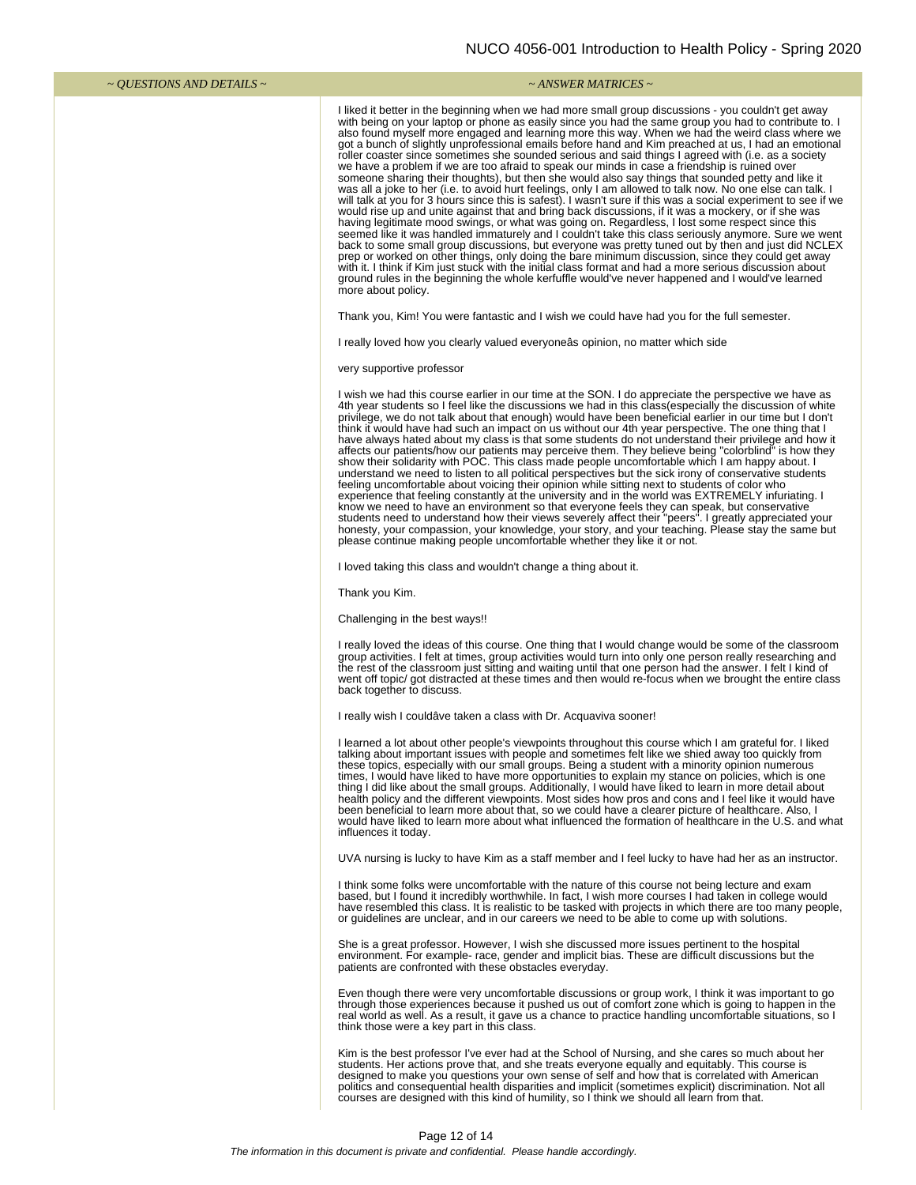|                                            | <b>DOO 4000 001 INTOGGCTON TO HUGHIT I OINCY</b><br>אט∠ פו יי יש                                                                                                                                                                                                                                                                                                                                                                                                                                                                                                                                                                                                                                                                                                                                                                                                                                                                                                                                                                                                                                                                                                                                                                                                                                                                                                                                                                                                                                                                                                                                                                                                                                                                         |
|--------------------------------------------|------------------------------------------------------------------------------------------------------------------------------------------------------------------------------------------------------------------------------------------------------------------------------------------------------------------------------------------------------------------------------------------------------------------------------------------------------------------------------------------------------------------------------------------------------------------------------------------------------------------------------------------------------------------------------------------------------------------------------------------------------------------------------------------------------------------------------------------------------------------------------------------------------------------------------------------------------------------------------------------------------------------------------------------------------------------------------------------------------------------------------------------------------------------------------------------------------------------------------------------------------------------------------------------------------------------------------------------------------------------------------------------------------------------------------------------------------------------------------------------------------------------------------------------------------------------------------------------------------------------------------------------------------------------------------------------------------------------------------------------|
| $\sim$ <i>QUESTIONS AND DETAILS</i> $\sim$ | $\sim$ ANSWER MATRICES $\sim$                                                                                                                                                                                                                                                                                                                                                                                                                                                                                                                                                                                                                                                                                                                                                                                                                                                                                                                                                                                                                                                                                                                                                                                                                                                                                                                                                                                                                                                                                                                                                                                                                                                                                                            |
|                                            | I liked it better in the beginning when we had more small group discussions - you couldn't get away<br>with being on your laptop or phone as easily since you had the same group you had to contribute to. I<br>also found myself more engaged and learning more this way. When we had the weird class where we<br>got a bunch of slightly unprofessional emails before hand and Kim preached at us, I had an emotional<br>roller coaster since sometimes she sounded serious and said things I agreed with (i.e. as a society<br>we have a problem if we are too afraid to speak our minds in case a friendship is ruined over<br>someone sharing their thoughts), but then she would also say things that sounded petty and like it<br>was all a joke to her (i.e. to avoid hurt feelings, only I am allowed to talk now. No one else can talk. I<br>will talk at you for 3 hours since this is safest). I wasn't sure if this was a social experiment to see if we<br>would rise up and unite against that and bring back discussions, if it was a mockery, or if she was<br>having legitimate mood swings, or what was going on. Regardless, I lost some respect since this<br>seemed like it was handled immaturely and I couldn't take this class seriously anymore. Sure we went<br>back to some small group discussions, but everyone was pretty tuned out by then and just did NCLEX<br>prep or worked on other things, only doing the bare minimum discussion, since they could get away<br>with it. I think if Kim just stuck with the initial class format and had a more serious discussion about<br>ground rules in the beginning the whole kerfuffle would've never happened and I would've learned<br>more about policy. |
|                                            | Thank you, Kim! You were fantastic and I wish we could have had you for the full semester.                                                                                                                                                                                                                                                                                                                                                                                                                                                                                                                                                                                                                                                                                                                                                                                                                                                                                                                                                                                                                                                                                                                                                                                                                                                                                                                                                                                                                                                                                                                                                                                                                                               |
|                                            | I really loved how you clearly valued everyone as opinion, no matter which side                                                                                                                                                                                                                                                                                                                                                                                                                                                                                                                                                                                                                                                                                                                                                                                                                                                                                                                                                                                                                                                                                                                                                                                                                                                                                                                                                                                                                                                                                                                                                                                                                                                          |
|                                            | very supportive professor                                                                                                                                                                                                                                                                                                                                                                                                                                                                                                                                                                                                                                                                                                                                                                                                                                                                                                                                                                                                                                                                                                                                                                                                                                                                                                                                                                                                                                                                                                                                                                                                                                                                                                                |
|                                            | I wish we had this course earlier in our time at the SON. I do appreciate the perspective we have as<br>4th year students so I feel like the discussions we had in this class (especially the discussion of white<br>privilege, we do not talk about that enough) would have been beneficial earlier in our time but I don't<br>think it would have had such an impact on us without our 4th year perspective. The one thing that I<br>have always hated about my class is that some students do not understand their privilege and how it<br>affects our patients/how our patients may perceive them. They believe being "colorblind" is how they<br>show their solidarity with POC. This class made people uncomfortable which I am happy about. I<br>understand we need to listen to all political perspectives but the sick irony of conservative students<br>feeling uncomfortable about voicing their opinion while sitting next to students of color who<br>experience that feeling constantly at the university and in the world was EXTREMELY infuriating. I<br>know we need to have an environment so that everyone feels they can speak, but conservative<br>students need to understand how their views severely affect their "peers". I greatly appreciated your<br>honesty, your compassion, your knowledge, your story, and your teaching. Please stay the same but<br>please continue making people uncomfortable whether they like it or not.                                                                                                                                                                                                                                                                           |
|                                            | I loved taking this class and wouldn't change a thing about it.                                                                                                                                                                                                                                                                                                                                                                                                                                                                                                                                                                                                                                                                                                                                                                                                                                                                                                                                                                                                                                                                                                                                                                                                                                                                                                                                                                                                                                                                                                                                                                                                                                                                          |
|                                            | Thank you Kim.                                                                                                                                                                                                                                                                                                                                                                                                                                                                                                                                                                                                                                                                                                                                                                                                                                                                                                                                                                                                                                                                                                                                                                                                                                                                                                                                                                                                                                                                                                                                                                                                                                                                                                                           |
|                                            | Challenging in the best ways!!                                                                                                                                                                                                                                                                                                                                                                                                                                                                                                                                                                                                                                                                                                                                                                                                                                                                                                                                                                                                                                                                                                                                                                                                                                                                                                                                                                                                                                                                                                                                                                                                                                                                                                           |
|                                            | I really loved the ideas of this course. One thing that I would change would be some of the classroom<br>group activities. I felt at times, group activities would turn into only one person really researching and<br>the rest of the classroom just sitting and waiting until that one person had the answer. I felt I kind of<br>went off topic/ got distracted at these times and then would re-focus when we brought the entire class<br>back together to discuss.                                                                                                                                                                                                                                                                                                                                                                                                                                                                                                                                                                                                                                                                                                                                                                                                                                                                                                                                                                                                                                                                                                                                                                                                                                                                  |
|                                            | I really wish I couldâve taken a class with Dr. Acquaviva sooner!                                                                                                                                                                                                                                                                                                                                                                                                                                                                                                                                                                                                                                                                                                                                                                                                                                                                                                                                                                                                                                                                                                                                                                                                                                                                                                                                                                                                                                                                                                                                                                                                                                                                        |
|                                            | I learned a lot about other people's viewpoints throughout this course which I am grateful for. I liked<br>talking about important issues with people and sometimes felt like we shied away too quickly from<br>these topics, especially with our small groups. Being a student with a minority opinion numerous<br>times, I would have liked to have more opportunities to explain my stance on policies, which is one<br>thing I did like about the small groups. Additionally, I would have liked to learn in more detail about<br>health policy and the different viewpoints. Most sides how pros and cons and I feel like it would have<br>been beneficial to learn more about that, so we could have a clearer picture of healthcare. Also, I<br>would have liked to learn more about what influenced the formation of healthcare in the U.S. and what<br>influences it today.                                                                                                                                                                                                                                                                                                                                                                                                                                                                                                                                                                                                                                                                                                                                                                                                                                                     |
|                                            | UVA nursing is lucky to have Kim as a staff member and I feel lucky to have had her as an instructor.                                                                                                                                                                                                                                                                                                                                                                                                                                                                                                                                                                                                                                                                                                                                                                                                                                                                                                                                                                                                                                                                                                                                                                                                                                                                                                                                                                                                                                                                                                                                                                                                                                    |
|                                            | I think some folks were uncomfortable with the nature of this course not being lecture and exam<br>based, but I found it incredibly worthwhile. In fact, I wish more courses I had taken in college would<br>have resembled this class. It is realistic to be tasked with projects in which there are too many people,<br>or guidelines are unclear, and in our careers we need to be able to come up with solutions.                                                                                                                                                                                                                                                                                                                                                                                                                                                                                                                                                                                                                                                                                                                                                                                                                                                                                                                                                                                                                                                                                                                                                                                                                                                                                                                    |
|                                            | She is a great professor. However, I wish she discussed more issues pertinent to the hospital<br>environment. For example- race, gender and implicit bias. These are difficult discussions but the<br>patients are confronted with these obstacles everyday.                                                                                                                                                                                                                                                                                                                                                                                                                                                                                                                                                                                                                                                                                                                                                                                                                                                                                                                                                                                                                                                                                                                                                                                                                                                                                                                                                                                                                                                                             |
|                                            | Even though there were very uncomfortable discussions or group work, I think it was important to go<br>through those experiences because it pushed us out of comfort zone which is going to happen in the<br>real world as well. As a result, it gave us a chance to practice handling uncomfortable situations, so I<br>think those were a key part in this class.                                                                                                                                                                                                                                                                                                                                                                                                                                                                                                                                                                                                                                                                                                                                                                                                                                                                                                                                                                                                                                                                                                                                                                                                                                                                                                                                                                      |

Kim is the best professor I've ever had at the School of Nursing, and she cares so much about her students. Her actions prove that, and she treats everyone equally and equitably. This course is designed to make you questio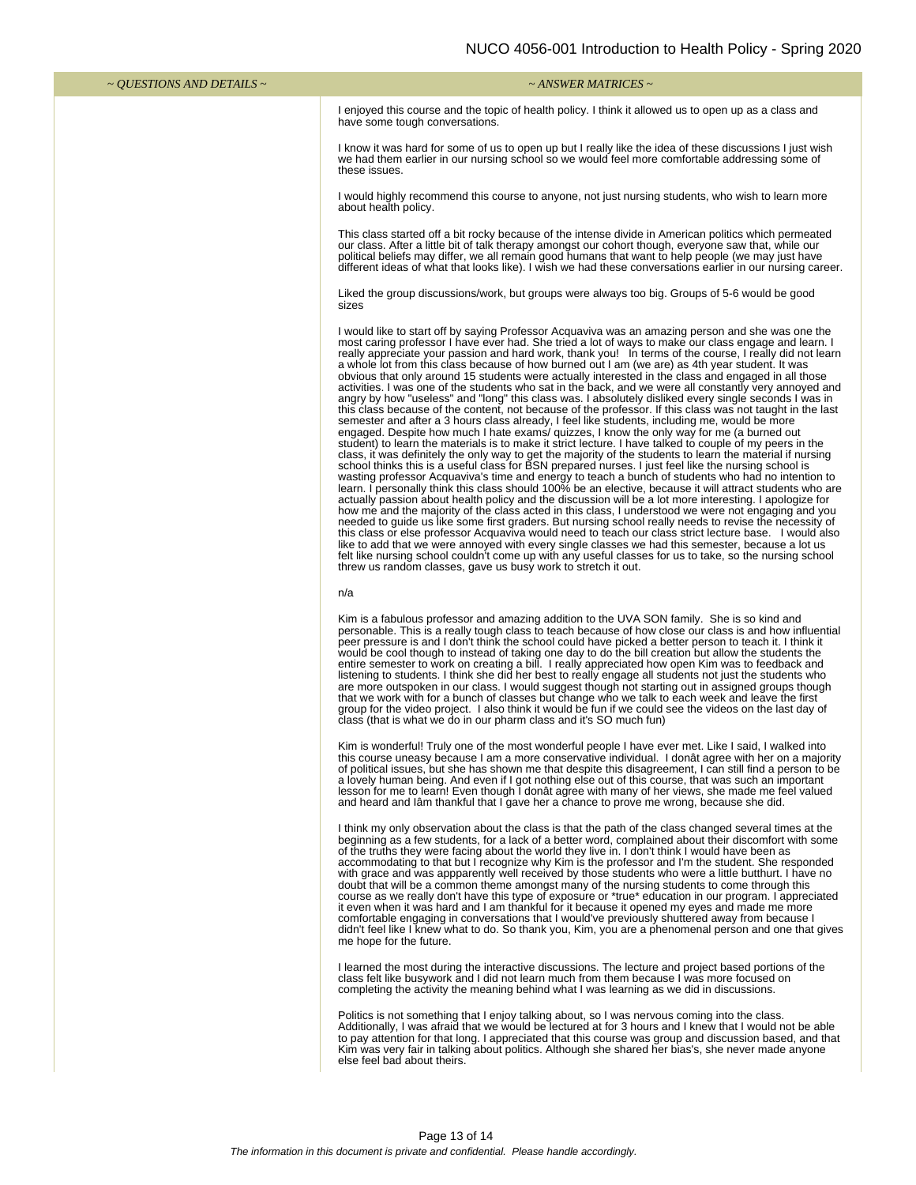| ~ QUESTIONS AND DETAILS ~ | $\sim$ ANSWER MATRICES $\sim$                                                                                                                                                                                                                                                                                                                                                                                                                                                                                                                                                                                                                                                                                                                                                                                                                                                                                                                                                                                                                                                                                                                                                                                                                                                                                                                                                                                                                                                                                                                                                                                                                                                                                                                                                                                                                                                                                                                                                                                                                                                                                                                                                                                                                                                                                                            |
|---------------------------|------------------------------------------------------------------------------------------------------------------------------------------------------------------------------------------------------------------------------------------------------------------------------------------------------------------------------------------------------------------------------------------------------------------------------------------------------------------------------------------------------------------------------------------------------------------------------------------------------------------------------------------------------------------------------------------------------------------------------------------------------------------------------------------------------------------------------------------------------------------------------------------------------------------------------------------------------------------------------------------------------------------------------------------------------------------------------------------------------------------------------------------------------------------------------------------------------------------------------------------------------------------------------------------------------------------------------------------------------------------------------------------------------------------------------------------------------------------------------------------------------------------------------------------------------------------------------------------------------------------------------------------------------------------------------------------------------------------------------------------------------------------------------------------------------------------------------------------------------------------------------------------------------------------------------------------------------------------------------------------------------------------------------------------------------------------------------------------------------------------------------------------------------------------------------------------------------------------------------------------------------------------------------------------------------------------------------------------|
|                           | I enjoyed this course and the topic of health policy. I think it allowed us to open up as a class and<br>have some tough conversations.                                                                                                                                                                                                                                                                                                                                                                                                                                                                                                                                                                                                                                                                                                                                                                                                                                                                                                                                                                                                                                                                                                                                                                                                                                                                                                                                                                                                                                                                                                                                                                                                                                                                                                                                                                                                                                                                                                                                                                                                                                                                                                                                                                                                  |
|                           | I know it was hard for some of us to open up but I really like the idea of these discussions I just wish<br>we had them earlier in our nursing school so we would feel more comfortable addressing some of<br>these issues.                                                                                                                                                                                                                                                                                                                                                                                                                                                                                                                                                                                                                                                                                                                                                                                                                                                                                                                                                                                                                                                                                                                                                                                                                                                                                                                                                                                                                                                                                                                                                                                                                                                                                                                                                                                                                                                                                                                                                                                                                                                                                                              |
|                           | I would highly recommend this course to anyone, not just nursing students, who wish to learn more<br>about health policy.                                                                                                                                                                                                                                                                                                                                                                                                                                                                                                                                                                                                                                                                                                                                                                                                                                                                                                                                                                                                                                                                                                                                                                                                                                                                                                                                                                                                                                                                                                                                                                                                                                                                                                                                                                                                                                                                                                                                                                                                                                                                                                                                                                                                                |
|                           | This class started off a bit rocky because of the intense divide in American politics which permeated<br>our class. After a little bit of talk therapy amongst our cohort though, everyone saw that, while our<br>political beliefs may differ, we all remain good humans that want to help people (we may just have<br>different ideas of what that looks like). I wish we had these conversations earlier in our nursing career.                                                                                                                                                                                                                                                                                                                                                                                                                                                                                                                                                                                                                                                                                                                                                                                                                                                                                                                                                                                                                                                                                                                                                                                                                                                                                                                                                                                                                                                                                                                                                                                                                                                                                                                                                                                                                                                                                                       |
|                           | Liked the group discussions/work, but groups were always too big. Groups of 5-6 would be good<br>sizes                                                                                                                                                                                                                                                                                                                                                                                                                                                                                                                                                                                                                                                                                                                                                                                                                                                                                                                                                                                                                                                                                                                                                                                                                                                                                                                                                                                                                                                                                                                                                                                                                                                                                                                                                                                                                                                                                                                                                                                                                                                                                                                                                                                                                                   |
|                           | I would like to start off by saying Professor Acquaviva was an amazing person and she was one the<br>most caring professor I have ever had. She tried a lot of ways to make our class engage and learn. I<br>really appreciate your passion and hard work, thank you! In terms of the course, I really did not learn<br>a whole lot from this class because of how burned out I am (we are) as 4th year student. It was<br>obvious that only around 15 students were actually interested in the class and engaged in all those<br>activities. I was one of the students who sat in the back, and we were all constantly very annoyed and<br>angry by how "useless" and "long" this class was. I absolutely disliked every single seconds I was in<br>this class because of the content, not because of the professor. If this class was not taught in the last<br>semester and after a 3 hours class already, I feel like students, including me, would be more<br>engaged. Despite how much I hate exams/ quizzes, I know the only way for me (a burned out<br>student) to learn the materials is to make it strict lecture. I have talked to couple of my peers in the<br>class, it was definitely the only way to get the majority of the students to learn the material if nursing<br>school thinks this is a useful class for BSN prepared nurses. I just feel like the nursing school is<br>wasting professor Acquaviva's time and energy to teach a bunch of students who had no intention to<br>learn. I personally think this class should 100% be an elective, because it will attract students who are<br>actually passion about health policy and the discussion will be a lot more interesting. I apologize for<br>how me and the majority of the class acted in this class, I understood we were not engaging and you<br>needed to guide us like some first graders. But nursing school really needs to revise the necessity of<br>this class or else professor Acquaviva would need to teach our class strict lecture base. I would also<br>like to add that we were annoyed with every single classes we had this semester, because a lot us<br>felt like nursing school couldn't come up with any useful classes for us to take, so the nursing school<br>threw us random classes, gave us busy work to stretch it out. |
|                           | n/a                                                                                                                                                                                                                                                                                                                                                                                                                                                                                                                                                                                                                                                                                                                                                                                                                                                                                                                                                                                                                                                                                                                                                                                                                                                                                                                                                                                                                                                                                                                                                                                                                                                                                                                                                                                                                                                                                                                                                                                                                                                                                                                                                                                                                                                                                                                                      |
|                           | Kim is a fabulous professor and amazing addition to the UVA SON family. She is so kind and<br>personable. This is a really tough class to teach because of how close our class is and how influential<br>peer pressure is and I don't think the school could have picked a better person to teach it. I think it<br>would be cool though to instead of taking one day to do the bill creation but allow the students the<br>entire semester to work on creating a bill. I really appreciated how open Kim was to feedback and<br>listening to students. I think she did her best to really engage all students not just the students who<br>are more outspoken in our class. I would suggest though not starting out in assigned groups though<br>that we work with for a bunch of classes but change who we talk to each week and leave the first<br>group for the video project. I also think it would be fun if we could see the videos on the last day of<br>class (that is what we do in our pharm class and it's SO much fun)                                                                                                                                                                                                                                                                                                                                                                                                                                                                                                                                                                                                                                                                                                                                                                                                                                                                                                                                                                                                                                                                                                                                                                                                                                                                                                      |
|                           | Kim is wonderful! Truly one of the most wonderful people I have ever met. Like I said, I walked into<br>this course uneasy because I am a more conservative individual. I donât agree with her on a majority<br>of political issues, but she has shown me that despite this disagreement, I can still find a person to be<br>a lovely human being. And even if I got nothing else out of this course, that was such an important<br>lesson for me to learn! Even though I donât agree with many of her views, she made me feel valued<br>and heard and lâm thankful that I gave her a chance to prove me wrong, because she did.                                                                                                                                                                                                                                                                                                                                                                                                                                                                                                                                                                                                                                                                                                                                                                                                                                                                                                                                                                                                                                                                                                                                                                                                                                                                                                                                                                                                                                                                                                                                                                                                                                                                                                         |
|                           | I think my only observation about the class is that the path of the class changed several times at the<br>beginning as a few students, for a lack of a better word, complained about their discomfort with some<br>of the truths they were facing about the world they live in. I don't think I would have been as<br>accommodating to that but I recognize why Kim is the professor and I'm the student. She responded<br>with grace and was appparently well received by those students who were a little butthurt. I have no<br>doubt that will be a common theme amongst many of the nursing students to come through this<br>course as we really don't have this type of exposure or *true* education in our program. I appreciated<br>it even when it was hard and I am thankful for it because it opened my eyes and made me more<br>comfortable engaging in conversations that I would've previously shuttered away from because I<br>didn't feel like I knew what to do. So thank you, Kim, you are a phenomenal person and one that gives<br>me hope for the future.                                                                                                                                                                                                                                                                                                                                                                                                                                                                                                                                                                                                                                                                                                                                                                                                                                                                                                                                                                                                                                                                                                                                                                                                                                                           |

I learned the most during the interactive discussions. The lecture and project based portions of the class felt like busywork and I did not learn much from them because I was more focused on completing the activity the meaning behind what I was learning as we did in discussions.

Politics is not something that I enjoy talking about, so I was nervous coming into the class.<br>Additionally, I was afraid that we would be lectured at for 3 hours and I knew that I would not be able<br>to pay attention for tha Kim was very fair in talking about politics. Although she shared her bias's, she never made anyone else feel bad about theirs.